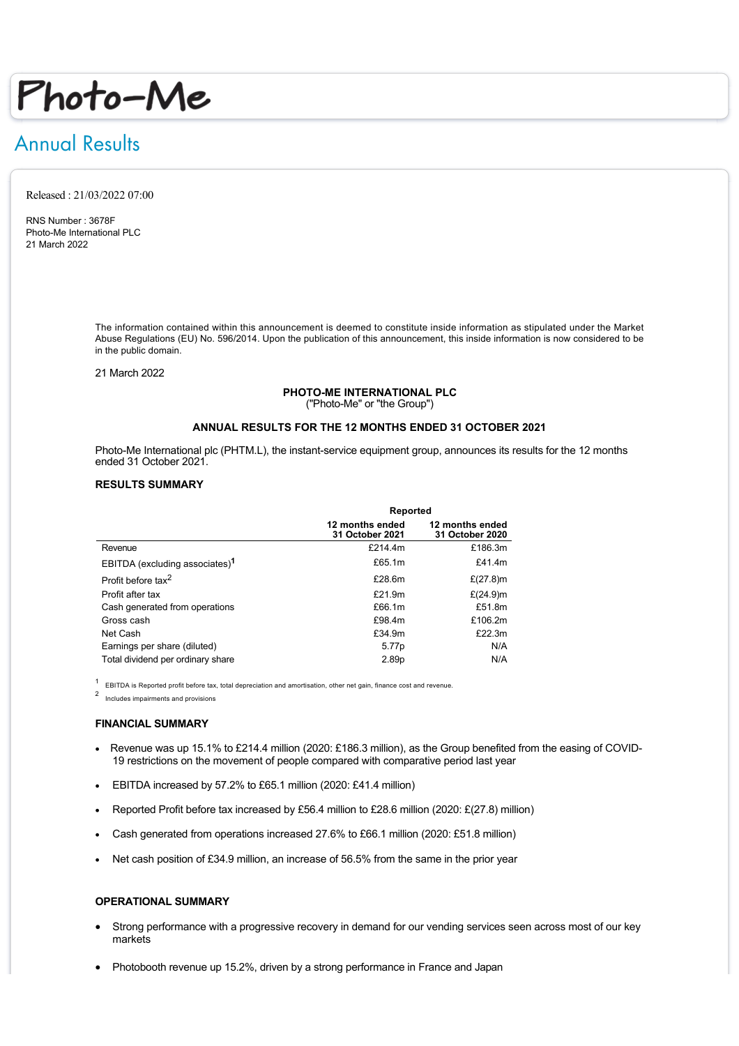# Photo-Me

## Annual Results

Released : 21/03/2022 07:00

RNS Number : 3678F Photo-Me International PLC 21 March 2022

> The information contained within this announcement is deemed to constitute inside information as stipulated under the Market Abuse Regulations (EU) No. 596/2014. Upon the publication of this announcement, this inside information is now considered to be in the public domain.

21 March 2022

#### **PHOTO-ME INTERNATIONAL PLC**

("Photo-Me" or "the Group")

#### **ANNUAL RESULTS FOR THE 12 MONTHS ENDED 31 OCTOBER 2021**

Photo-Me International plc (PHTM.L), the instant-service equipment group, announces its results for the 12 months ended 31 October 2021.

#### **RESULTS SUMMARY**

|                                            | Reported                           |                                    |
|--------------------------------------------|------------------------------------|------------------------------------|
|                                            | 12 months ended<br>31 October 2021 | 12 months ended<br>31 October 2020 |
| Revenue                                    | £214.4m                            | £186.3m                            |
| EBITDA (excluding associates) <sup>1</sup> | £65.1m                             | £41.4m                             |
| Profit before tax <sup>2</sup>             | £28.6m                             | £ $(27.8)$ m                       |
| Profit after tax                           | £21.9m                             | £ $(24.9)$ m                       |
| Cash generated from operations             | £66.1m                             | £51.8m                             |
| Gross cash                                 | £98.4m                             | £106.2m                            |
| Net Cash                                   | £34.9m                             | £22.3m                             |
| Earnings per share (diluted)               | 5.77p                              | N/A                                |
| Total dividend per ordinary share          | 2.89p                              | N/A                                |

EBITDA is Reported profit before tax, total depreciation and amortisation, other net gain, finance cost and revenue.

2 Includes impairments and provisions

#### **FINANCIAL SUMMARY**

- Revenue was up 15.1% to £214.4 million (2020: £186.3 million), as the Group benefited from the easing of COVID-19 restrictions on the movement of people compared with comparative period last year
- · EBITDA increased by 57.2% to £65.1 million (2020: £41.4 million)
- · Reported Profit before tax increased by £56.4 million to £28.6 million (2020: £(27.8) million)
- · Cash generated from operations increased 27.6% to £66.1 million (2020: £51.8 million)
- · Net cash position of £34.9 million, an increase of 56.5% from the same in the prior year

#### **OPERATIONAL SUMMARY**

- Strong performance with a progressive recovery in demand for our vending services seen across most of our key markets
- Photobooth revenue up 15.2%, driven by a strong performance in France and Japan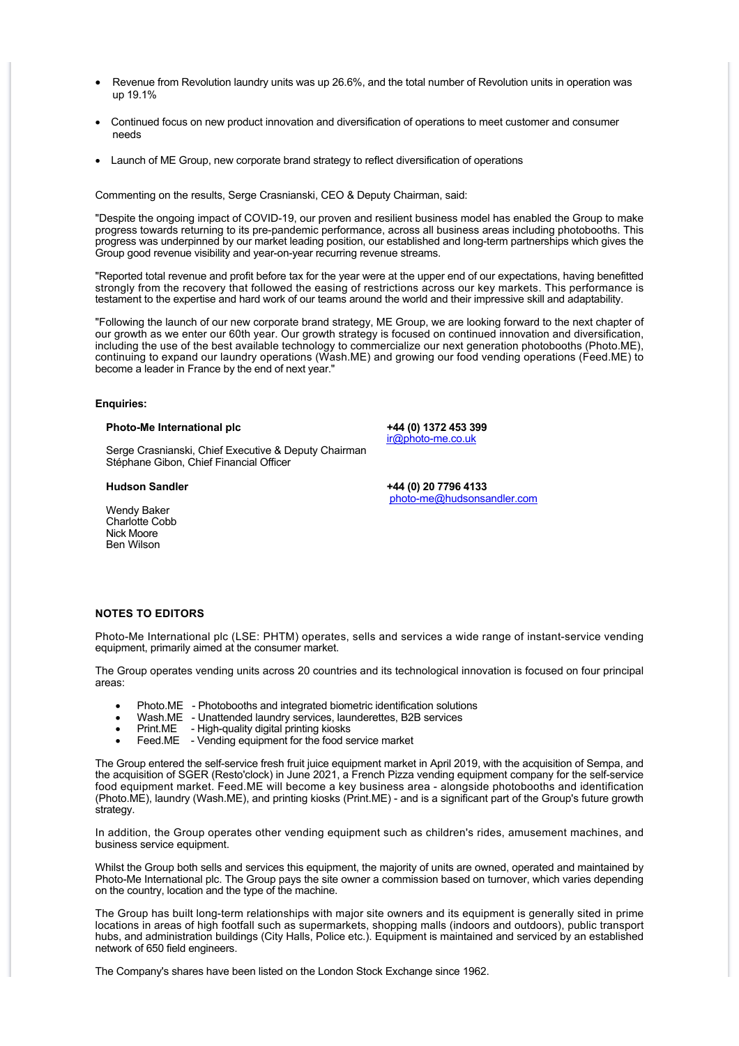- Revenue from Revolution laundry units was up 26.6%, and the total number of Revolution units in operation was up 19.1%
- · Continued focus on new product innovation and diversification of operations to meet customer and consumer needs
- · Launch of ME Group, new corporate brand strategy to reflect diversification of operations

Commenting on the results, Serge Crasnianski, CEO & Deputy Chairman, said:

"Despite the ongoing impact of COVID-19, our proven and resilient business model has enabled the Group to make progress towards returning to its pre-pandemic performance, across all business areas including photobooths. This progress was underpinned by our market leading position, our established and long-term partnerships which gives the Group good revenue visibility and year-on-year recurring revenue streams.

"Reported total revenue and profit before tax for the year were at the upper end of our expectations, having benefitted strongly from the recovery that followed the easing of restrictions across our key markets. This performance is testament to the expertise and hard work of our teams around the world and their impressive skill and adaptability.

"Following the launch of our new corporate brand strategy, ME Group, we are looking forward to the next chapter of our growth as we enter our 60th year. Our growth strategy is focused on continued innovation and diversification, including the use of the best available technology to commercialize our next generation photobooths (Photo.ME), continuing to expand our laundry operations (Wash.ME) and growing our food vending operations (Feed.ME) to become a leader in France by the end of next year."

#### **Enquiries:**

#### **Photo-Me International plc +44 (0) 1372 453 399**

Serge Crasnianski, Chief Executive & Deputy Chairman Stéphane Gibon, Chief Financial Officer

Wendy Baker Charlotte Cobb Nick Moore Ben Wilson

[ir@photo-me.co.uk](mailto:ir@photo-me.co.uk)

**Hudson Sandler +44 (0) 20 7796 4133** [photo-me@hudsonsandler.com](mailto:photo-me@hudsonsandler.com)

#### **NOTES TO EDITORS**

Photo-Me International plc (LSE: PHTM) operates, sells and services a wide range of instant-service vending equipment, primarily aimed at the consumer market.

The Group operates vending units across 20 countries and its technological innovation is focused on four principal areas:

- · Photo.ME Photobooths and integrated biometric identification solutions
- · Wash.ME Unattended laundry services, launderettes, B2B services
- Print.ME High-quality digital printing kiosks
- Feed.ME Vending equipment for the food service market

The Group entered the self-service fresh fruit juice equipment market in April 2019, with the acquisition of Sempa, and the acquisition of SGER (Resto'clock) in June 2021, a French Pizza vending equipment company for the self-service food equipment market. Feed.ME will become a key business area - alongside photobooths and identification (Photo.ME), laundry (Wash.ME), and printing kiosks (Print.ME) - and is a significant part of the Group's future growth strategy.

In addition, the Group operates other vending equipment such as children's rides, amusement machines, and business service equipment.

Whilst the Group both sells and services this equipment, the majority of units are owned, operated and maintained by Photo-Me International plc. The Group pays the site owner a commission based on turnover, which varies depending on the country, location and the type of the machine.

The Group has built long-term relationships with major site owners and its equipment is generally sited in prime locations in areas of high footfall such as supermarkets, shopping malls (indoors and outdoors), public transport hubs, and administration buildings (City Halls, Police etc.). Equipment is maintained and serviced by an established network of 650 field engineers.

The Company's shares have been listed on the London Stock Exchange since 1962.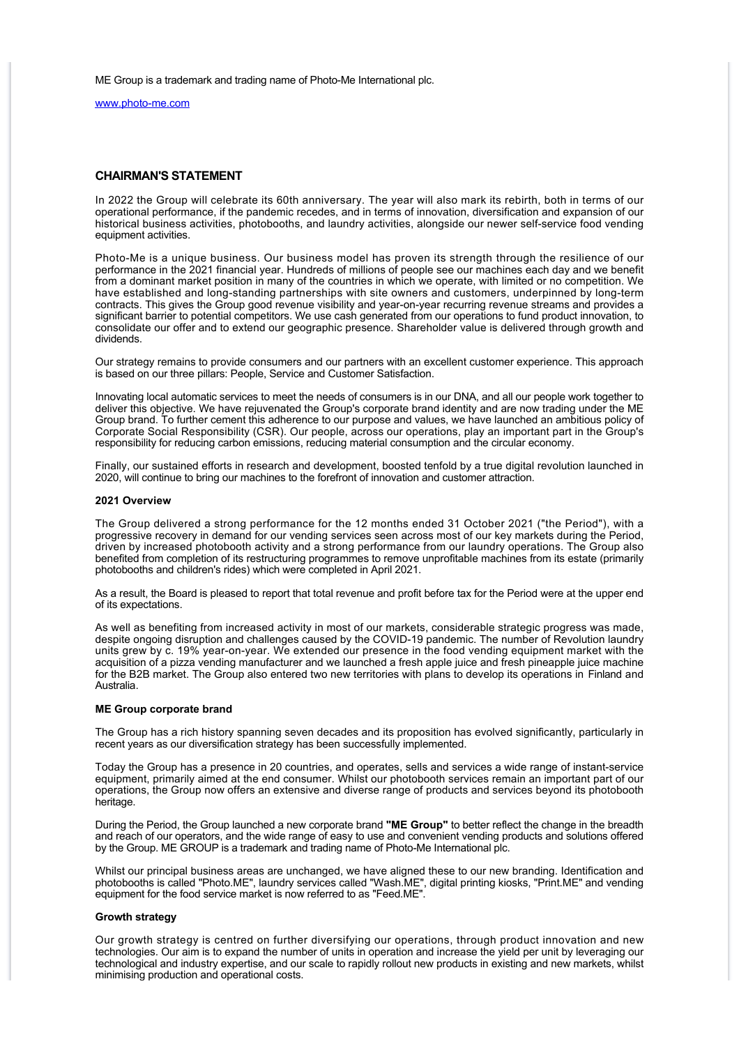ME Group is a trademark and trading name of Photo-Me International plc.

[www.photo-me.com](http://www.photo-me.com)

#### **CHAIRMAN'S STATEMENT**

In 2022 the Group will celebrate its 60th anniversary. The year will also mark its rebirth, both in terms of our operational performance, if the pandemic recedes, and in terms of innovation, diversification and expansion of our historical business activities, photobooths, and laundry activities, alongside our newer self-service food vending equipment activities.

Photo-Me is a unique business. Our business model has proven its strength through the resilience of our performance in the 2021 financial year. Hundreds of millions of people see our machines each day and we benefit from a dominant market position in many of the countries in which we operate, with limited or no competition. We have established and long-standing partnerships with site owners and customers, underpinned by long-term contracts. This gives the Group good revenue visibility and year-on-year recurring revenue streams and provides a significant barrier to potential competitors. We use cash generated from our operations to fund product innovation, to consolidate our offer and to extend our geographic presence. Shareholder value is delivered through growth and dividends.

Our strategy remains to provide consumers and our partners with an excellent customer experience. This approach is based on our three pillars: People, Service and Customer Satisfaction.

Innovating local automatic services to meet the needs of consumers is in our DNA, and all our people work together to deliver this objective. We have rejuvenated the Group's corporate brand identity and are now trading under the ME Group brand. To further cement this adherence to our purpose and values, we have launched an ambitious policy of Corporate Social Responsibility (CSR). Our people, across our operations, play an important part in the Group's responsibility for reducing carbon emissions, reducing material consumption and the circular economy.

Finally, our sustained efforts in research and development, boosted tenfold by a true digital revolution launched in 2020, will continue to bring our machines to the forefront of innovation and customer attraction.

#### **2021 Overview**

The Group delivered a strong performance for the 12 months ended 31 October 2021 ("the Period"), with a progressive recovery in demand for our vending services seen across most of our key markets during the Period, driven by increased photobooth activity and a strong performance from our laundry operations. The Group also benefited from completion of its restructuring programmes to remove unprofitable machines from its estate (primarily photobooths and children's rides) which were completed in April 2021.

As a result, the Board is pleased to report that total revenue and profit before tax for the Period were at the upper end of its expectations.

As well as benefiting from increased activity in most of our markets, considerable strategic progress was made, despite ongoing disruption and challenges caused by the COVID-19 pandemic. The number of Revolution laundry units grew by c. 19% year-on-year. We extended our presence in the food vending equipment market with the acquisition of a pizza vending manufacturer and we launched a fresh apple juice and fresh pineapple juice machine for the B2B market. The Group also entered two new territories with plans to develop its operations in Finland and Australia.

#### **ME Group corporate brand**

The Group has a rich history spanning seven decades and its proposition has evolved significantly, particularly in recent years as our diversification strategy has been successfully implemented.

Today the Group has a presence in 20 countries, and operates, sells and services a wide range of instant-service equipment, primarily aimed at the end consumer. Whilst our photobooth services remain an important part of our operations, the Group now offers an extensive and diverse range of products and services beyond its photobooth heritage.

During the Period, the Group launched a new corporate brand **"ME Group"** to better reflect the change in the breadth and reach of our operators, and the wide range of easy to use and convenient vending products and solutions offered by the Group. ME GROUP is a trademark and trading name of Photo-Me International plc.

Whilst our principal business areas are unchanged, we have aligned these to our new branding. Identification and photobooths is called "Photo.ME", laundry services called "Wash.ME", digital printing kiosks, "Print.ME" and vending equipment for the food service market is now referred to as "Feed.ME".

#### **Growth strategy**

Our growth strategy is centred on further diversifying our operations, through product innovation and new technologies. Our aim is to expand the number of units in operation and increase the yield per unit by leveraging our technological and industry expertise, and our scale to rapidly rollout new products in existing and new markets, whilst minimising production and operational costs.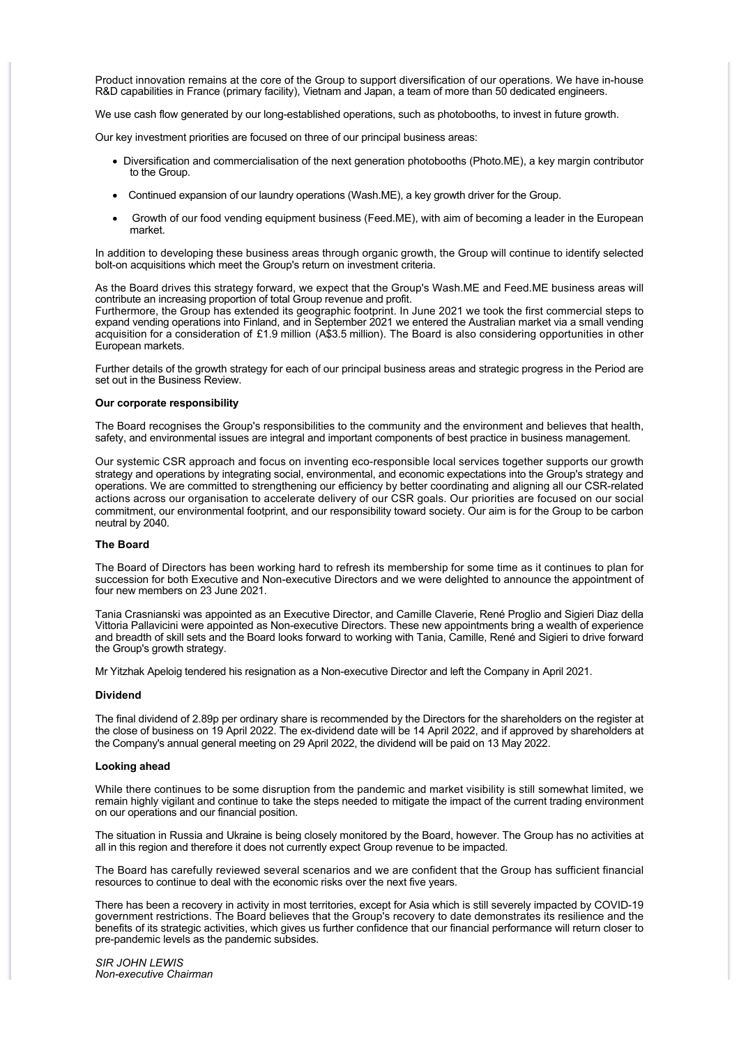Product innovation remains at the core of the Group to support diversification of our operations. We have in-house R&D capabilities in France (primary facility), Vietnam and Japan, a team of more than 50 dedicated engineers.

We use cash flow generated by our long-established operations, such as photobooths, to invest in future growth.

Our key investment priorities are focused on three of our principal business areas:

- · Diversification and commercialisation of the next generation photobooths (Photo.ME), a key margin contributor to the Group.
- · Continued expansion of our laundry operations (Wash.ME), a key growth driver for the Group.
- · Growth of our food vending equipment business (Feed.ME), with aim of becoming a leader in the European market.

In addition to developing these business areas through organic growth, the Group will continue to identify selected bolt-on acquisitions which meet the Group's return on investment criteria.

As the Board drives this strategy forward, we expect that the Group's Wash.ME and Feed.ME business areas will contribute an increasing proportion of total Group revenue and profit.

Furthermore, the Group has extended its geographic footprint. In June 2021 we took the first commercial steps to expand vending operations into Finland, and in September 2021 we entered the Australian market via a small vending acquisition for a consideration of £1.9 million (A\$3.5 million). The Board is also considering opportunities in other European markets.

Further details of the growth strategy for each of our principal business areas and strategic progress in the Period are set out in the Business Review.

#### **Our corporate responsibility**

The Board recognises the Group's responsibilities to the community and the environment and believes that health, safety, and environmental issues are integral and important components of best practice in business management.

Our systemic CSR approach and focus on inventing eco-responsible local services together supports our growth strategy and operations by integrating social, environmental, and economic expectations into the Group's strategy and operations. We are committed to strengthening our efficiency by better coordinating and aligning all our CSR-related actions across our organisation to accelerate delivery of our CSR goals. Our priorities are focused on our social commitment, our environmental footprint, and our responsibility toward society. Our aim is for the Group to be carbon neutral by 2040.

#### **The Board**

The Board of Directors has been working hard to refresh its membership for some time as it continues to plan for succession for both Executive and Non-executive Directors and we were delighted to announce the appointment of four new members on 23 June 2021.

Tania Crasnianski was appointed as an Executive Director, and Camille Claverie, René Proglio and Sigieri Diaz della Vittoria Pallavicini were appointed as Non-executive Directors. These new appointments bring a wealth of experience and breadth of skill sets and the Board looks forward to working with Tania, Camille, René and Sigieri to drive forward the Group's growth strategy.

Mr Yitzhak Apeloig tendered his resignation as a Non-executive Director and left the Company in April 2021.

#### **Dividend**

The final dividend of 2.89p per ordinary share is recommended by the Directors for the shareholders on the register at the close of business on 19 April 2022. The ex-dividend date will be 14 April 2022, and if approved by shareholders at the Company's annual general meeting on 29 April 2022, the dividend will be paid on 13 May 2022.

#### **Looking ahead**

While there continues to be some disruption from the pandemic and market visibility is still somewhat limited, we remain highly vigilant and continue to take the steps needed to mitigate the impact of the current trading environment on our operations and our financial position.

The situation in Russia and Ukraine is being closely monitored by the Board, however. The Group has no activities at all in this region and therefore it does not currently expect Group revenue to be impacted.

The Board has carefully reviewed several scenarios and we are confident that the Group has sufficient financial resources to continue to deal with the economic risks over the next five years.

There has been a recovery in activity in most territories, except for Asia which is still severely impacted by COVID-19 government restrictions. The Board believes that the Group's recovery to date demonstrates its resilience and the benefits of its strategic activities, which gives us further confidence that our financial performance will return closer to pre-pandemic levels as the pandemic subsides.

*SIR JOHN LEWIS Non-executive Chairman*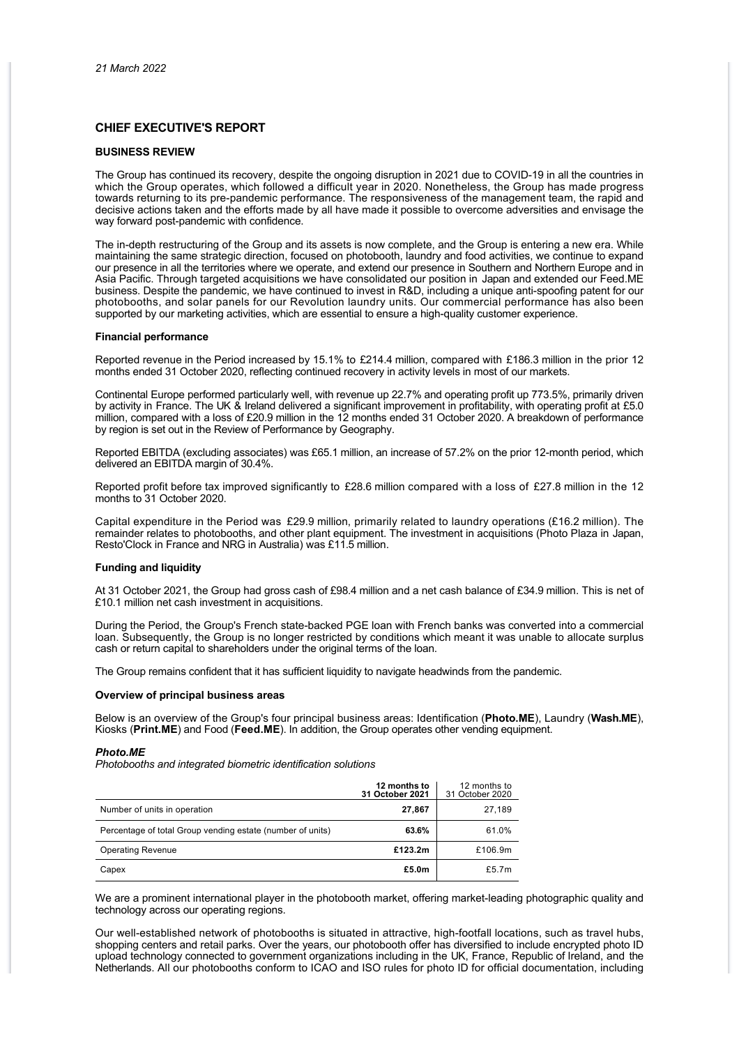#### **CHIEF EXECUTIVE'S REPORT**

#### **BUSINESS REVIEW**

The Group has continued its recovery, despite the ongoing disruption in 2021 due to COVID-19 in all the countries in which the Group operates, which followed a difficult year in 2020. Nonetheless, the Group has made progress towards returning to its pre-pandemic performance. The responsiveness of the management team, the rapid and decisive actions taken and the efforts made by all have made it possible to overcome adversities and envisage the way forward post-pandemic with confidence.

The in-depth restructuring of the Group and its assets is now complete, and the Group is entering a new era. While maintaining the same strategic direction, focused on photobooth, laundry and food activities, we continue to expand our presence in all the territories where we operate, and extend our presence in Southern and Northern Europe and in Asia Pacific. Through targeted acquisitions we have consolidated our position in Japan and extended our Feed.ME business. Despite the pandemic, we have continued to invest in R&D, including a unique anti-spoofing patent for our photobooths, and solar panels for our Revolution laundry units. Our commercial performance has also been supported by our marketing activities, which are essential to ensure a high-quality customer experience.

#### **Financial performance**

Reported revenue in the Period increased by 15.1% to £214.4 million, compared with £186.3 million in the prior 12 months ended 31 October 2020, reflecting continued recovery in activity levels in most of our markets.

Continental Europe performed particularly well, with revenue up 22.7% and operating profit up 773.5%, primarily driven by activity in France. The UK & Ireland delivered a significant improvement in profitability, with operating profit at £5.0 million, compared with a loss of £20.9 million in the 12 months ended 31 October 2020. A breakdown of performance by region is set out in the Review of Performance by Geography.

Reported EBITDA (excluding associates) was £65.1 million, an increase of 57.2% on the prior 12-month period, which delivered an EBITDA margin of 30.4%.

Reported profit before tax improved significantly to £28.6 million compared with a loss of £27.8 million in the 12 months to 31 October 2020.

Capital expenditure in the Period was £29.9 million, primarily related to laundry operations (£16.2 million). The remainder relates to photobooths, and other plant equipment. The investment in acquisitions (Photo Plaza in Japan, Resto'Clock in France and NRG in Australia) was £11.5 million.

#### **Funding and liquidity**

At 31 October 2021, the Group had gross cash of £98.4 million and a net cash balance of £34.9 million. This is net of £10.1 million net cash investment in acquisitions.

During the Period, the Group's French state-backed PGE loan with French banks was converted into a commercial loan. Subsequently, the Group is no longer restricted by conditions which meant it was unable to allocate surplus cash or return capital to shareholders under the original terms of the loan.

The Group remains confident that it has sufficient liquidity to navigate headwinds from the pandemic.

#### **Overview of principal business areas**

Below is an overview of the Group's four principal business areas: Identification (**Photo.ME**), Laundry (**Wash.ME**), Kiosks (**Print.ME**) and Food (**Feed.ME**). In addition, the Group operates other vending equipment.

#### *Photo.ME*

*Photobooths and integrated biometric identification solutions*

|                                                            | 12 months to<br>31 October 2021 | 12 months to<br>31 October 2020 |
|------------------------------------------------------------|---------------------------------|---------------------------------|
| Number of units in operation                               | 27,867                          | 27,189                          |
| Percentage of total Group vending estate (number of units) | 63.6%                           | 61.0%                           |
| <b>Operating Revenue</b>                                   | £123.2m                         | £106.9m                         |
| Capex                                                      | £5.0m                           | £5.7 $m$                        |

We are a prominent international player in the photobooth market, offering market-leading photographic quality and technology across our operating regions.

Our well-established network of photobooths is situated in attractive, high-footfall locations, such as travel hubs, shopping centers and retail parks. Over the years, our photobooth offer has diversified to include encrypted photo ID upload technology connected to government organizations including in the UK, France, Republic of Ireland, and the Netherlands. All our photobooths conform to ICAO and ISO rules for photo ID for official documentation, including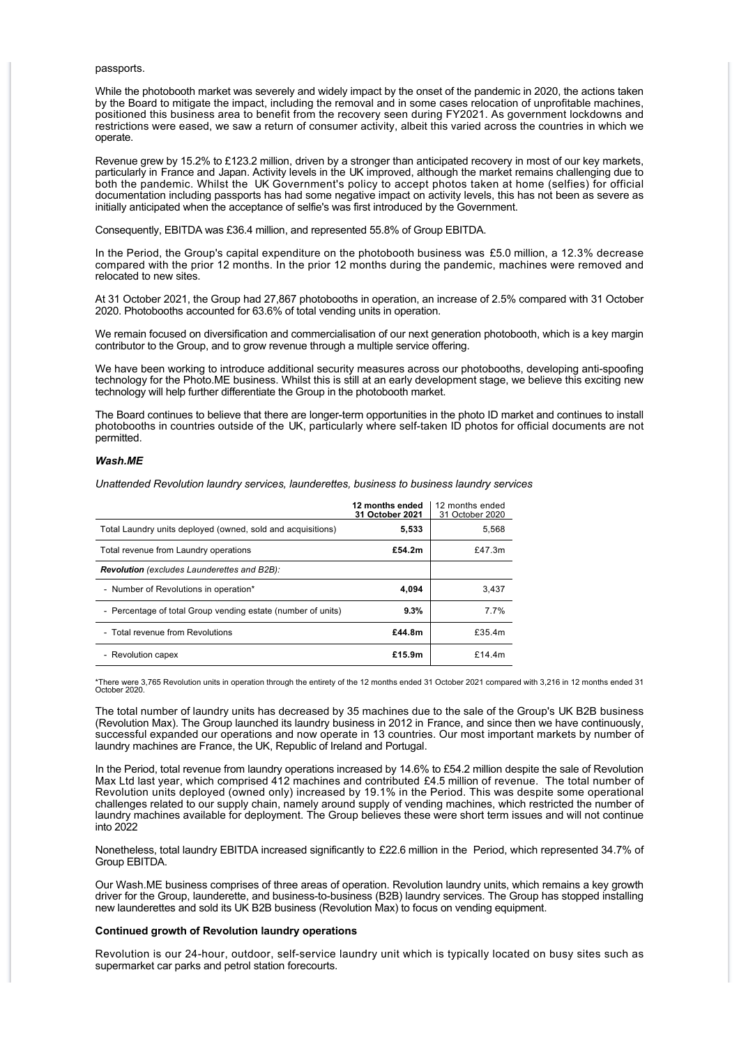#### passports.

While the photobooth market was severely and widely impact by the onset of the pandemic in 2020, the actions taken by the Board to mitigate the impact, including the removal and in some cases relocation of unprofitable machines, positioned this business area to benefit from the recovery seen during FY2021. As government lockdowns and restrictions were eased, we saw a return of consumer activity, albeit this varied across the countries in which we operate.

Revenue grew by 15.2% to £123.2 million, driven by a stronger than anticipated recovery in most of our key markets, particularly in France and Japan. Activity levels in the UK improved, although the market remains challenging due to both the pandemic. Whilst the UK Government's policy to accept photos taken at home (selfies) for official documentation including passports has had some negative impact on activity levels, this has not been as severe as initially anticipated when the acceptance of selfie's was first introduced by the Government.

Consequently, EBITDA was £36.4 million, and represented 55.8% of Group EBITDA.

In the Period, the Group's capital expenditure on the photobooth business was £5.0 million, a 12.3% decrease compared with the prior 12 months. In the prior 12 months during the pandemic, machines were removed and relocated to new sites.

At 31 October 2021, the Group had 27,867 photobooths in operation, an increase of 2.5% compared with 31 October 2020. Photobooths accounted for 63.6% of total vending units in operation.

We remain focused on diversification and commercialisation of our next generation photobooth, which is a key margin contributor to the Group, and to grow revenue through a multiple service offering.

We have been working to introduce additional security measures across our photobooths, developing anti-spoofing technology for the Photo.ME business. Whilst this is still at an early development stage, we believe this exciting new technology will help further differentiate the Group in the photobooth market.

The Board continues to believe that there are longer-term opportunities in the photo ID market and continues to install photobooths in countries outside of the UK, particularly where self-taken ID photos for official documents are not permitted.

#### *Wash.ME*

*Unattended Revolution laundry services, launderettes, business to business laundry services*

|                                                              | 12 months ended<br>31 October 2021 | 12 months ended<br>31 October 2020 |
|--------------------------------------------------------------|------------------------------------|------------------------------------|
| Total Laundry units deployed (owned, sold and acquisitions)  | 5,533                              | 5,568                              |
| Total revenue from Laundry operations                        | £54.2m                             | £47.3 $m$                          |
| <b>Revolution</b> (excludes Launderettes and B2B):           |                                    |                                    |
| - Number of Revolutions in operation*                        | 4,094                              | 3.437                              |
| - Percentage of total Group vending estate (number of units) | 9.3%                               | 7.7%                               |
| - Total revenue from Revolutions                             | £44.8m                             | £35.4m                             |
| - Revolution capex                                           | £15.9m                             | £14.4 $m$                          |

\*There were 3,765 Revolution units in operation through the entirety of the 12 months ended 31 October 2021 compared with 3,216 in 12 months ended 31 October 2020.

The total number of laundry units has decreased by 35 machines due to the sale of the Group's UK B2B business (Revolution Max). The Group launched its laundry business in 2012 in France, and since then we have continuously, successful expanded our operations and now operate in 13 countries. Our most important markets by number of laundry machines are France, the UK, Republic of Ireland and Portugal.

In the Period, total revenue from laundry operations increased by 14.6% to £54.2 million despite the sale of Revolution Max Ltd last year, which comprised 412 machines and contributed £4.5 million of revenue. The total number of Revolution units deployed (owned only) increased by 19.1% in the Period. This was despite some operational challenges related to our supply chain, namely around supply of vending machines, which restricted the number of laundry machines available for deployment. The Group believes these were short term issues and will not continue into 2022

Nonetheless, total laundry EBITDA increased significantly to £22.6 million in the Period, which represented 34.7% of Group EBITDA.

Our Wash.ME business comprises of three areas of operation. Revolution laundry units, which remains a key growth driver for the Group, launderette, and business-to-business (B2B) laundry services. The Group has stopped installing new launderettes and sold its UK B2B business (Revolution Max) to focus on vending equipment.

#### **Continued growth of Revolution laundry operations**

Revolution is our 24-hour, outdoor, self-service laundry unit which is typically located on busy sites such as supermarket car parks and petrol station forecourts.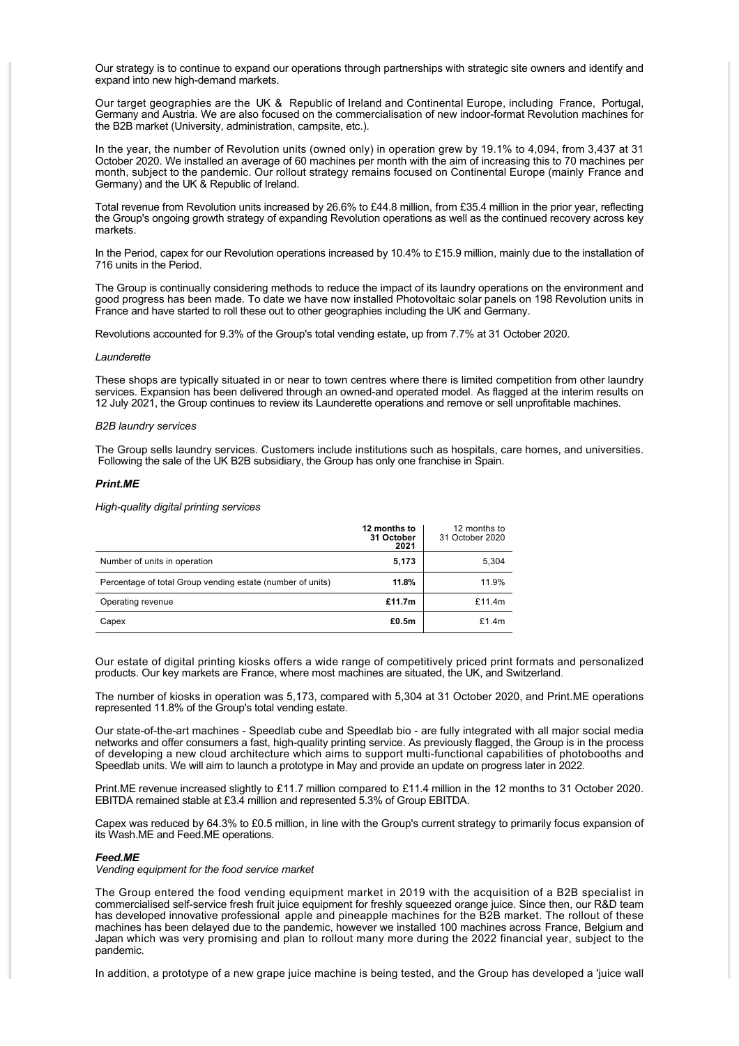Our strategy is to continue to expand our operations through partnerships with strategic site owners and identify and expand into new high-demand markets.

Our target geographies are the UK & Republic of Ireland and Continental Europe, including France, Portugal, Germany and Austria. We are also focused on the commercialisation of new indoor-format Revolution machines for the B2B market (University, administration, campsite, etc.).

In the year, the number of Revolution units (owned only) in operation grew by 19.1% to 4,094, from 3,437 at 31 October 2020. We installed an average of 60 machines per month with the aim of increasing this to 70 machines per month, subject to the pandemic. Our rollout strategy remains focused on Continental Europe (mainly France and Germany) and the UK & Republic of Ireland.

Total revenue from Revolution units increased by 26.6% to £44.8 million, from £35.4 million in the prior year, reflecting the Group's ongoing growth strategy of expanding Revolution operations as well as the continued recovery across key markets.

In the Period, capex for our Revolution operations increased by 10.4% to £15.9 million, mainly due to the installation of 716 units in the Period.

The Group is continually considering methods to reduce the impact of its laundry operations on the environment and good progress has been made. To date we have now installed Photovoltaic solar panels on 198 Revolution units in France and have started to roll these out to other geographies including the UK and Germany.

Revolutions accounted for 9.3% of the Group's total vending estate, up from 7.7% at 31 October 2020.

#### *Launderette*

These shops are typically situated in or near to town centres where there is limited competition from other laundry services. Expansion has been delivered through an owned-and operated model. As flagged at the interim results on 12 July 2021, the Group continues to review its Launderette operations and remove or sell unprofitable machines.

#### *B2B laundry services*

The Group sells laundry services. Customers include institutions such as hospitals, care homes, and universities. Following the sale of the UK B2B subsidiary, the Group has only one franchise in Spain.

#### *Print.ME*

*High-quality digital printing services*

|                                                            | 12 months to<br>31 October<br>2021 | 12 months to<br>31 October 2020 |
|------------------------------------------------------------|------------------------------------|---------------------------------|
| Number of units in operation                               | 5,173                              | 5,304                           |
| Percentage of total Group vending estate (number of units) | 11.8%                              | 11.9%                           |
| Operating revenue                                          | £11.7m                             | £11.4 $m$                       |
| Capex                                                      | £0.5m                              | £1.4 $m$                        |

Our estate of digital printing kiosks offers a wide range of competitively priced print formats and personalized products. Our key markets are France, where most machines are situated, the UK, and Switzerland.

The number of kiosks in operation was 5,173, compared with 5,304 at 31 October 2020, and Print.ME operations represented 11.8% of the Group's total vending estate.

Our state-of-the-art machines - Speedlab cube and Speedlab bio - are fully integrated with all major social media networks and offer consumers a fast, high-quality printing service. As previously flagged, the Group is in the process of developing a new cloud architecture which aims to support multi-functional capabilities of photobooths and Speedlab units. We will aim to launch a prototype in May and provide an update on progress later in 2022.

Print.ME revenue increased slightly to £11.7 million compared to £11.4 million in the 12 months to 31 October 2020. EBITDA remained stable at £3.4 million and represented 5.3% of Group EBITDA.

Capex was reduced by 64.3% to £0.5 million, in line with the Group's current strategy to primarily focus expansion of its Wash.ME and Feed.ME operations.

#### *Feed.ME*

*Vending equipment for the food service market*

The Group entered the food vending equipment market in 2019 with the acquisition of a B2B specialist in commercialised self-service fresh fruit juice equipment for freshly squeezed orange juice. Since then, our R&D team has developed innovative professional apple and pineapple machines for the B2B market. The rollout of these machines has been delayed due to the pandemic, however we installed 100 machines across France, Belgium and Japan which was very promising and plan to rollout many more during the 2022 financial year, subject to the pandemic.

In addition, a prototype of a new grape juice machine is being tested, and the Group has developed a 'juice wall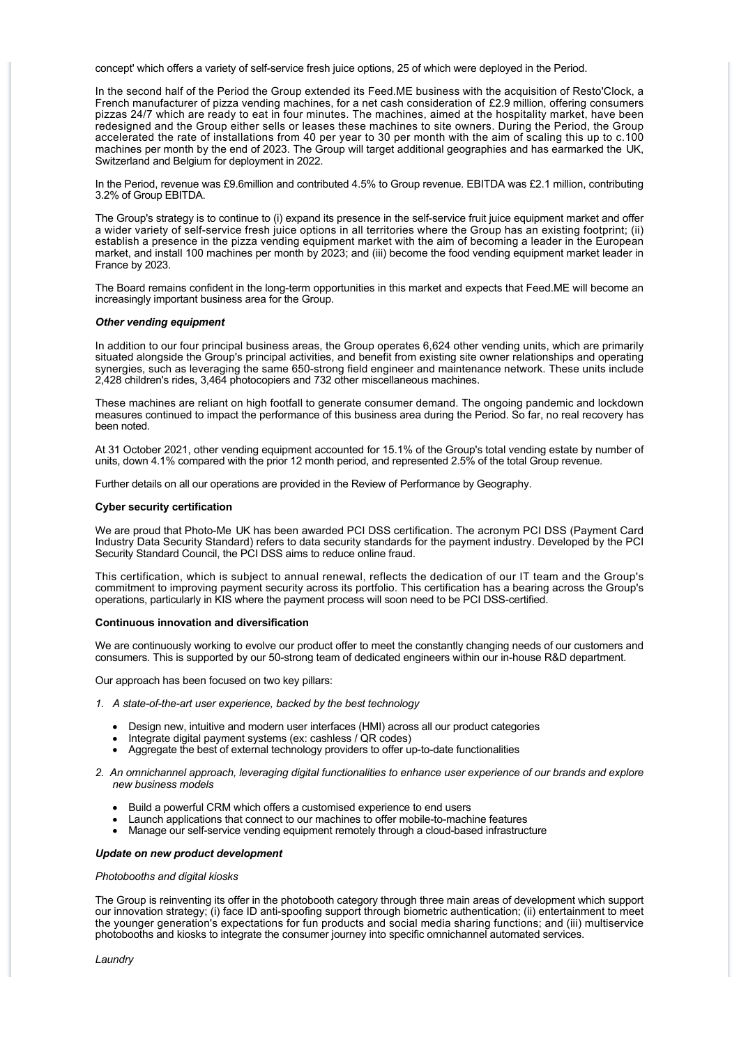concept' which offers a variety of self-service fresh juice options, 25 of which were deployed in the Period.

In the second half of the Period the Group extended its Feed.ME business with the acquisition of Resto'Clock, a French manufacturer of pizza vending machines, for a net cash consideration of £2.9 million, offering consumers pizzas 24/7 which are ready to eat in four minutes. The machines, aimed at the hospitality market, have been redesigned and the Group either sells or leases these machines to site owners. During the Period, the Group accelerated the rate of installations from 40 per year to 30 per month with the aim of scaling this up to c.100 machines per month by the end of 2023. The Group will target additional geographies and has earmarked the UK, Switzerland and Belgium for deployment in 2022.

In the Period, revenue was £9.6million and contributed 4.5% to Group revenue. EBITDA was £2.1 million, contributing 3.2% of Group EBITDA.

The Group's strategy is to continue to (i) expand its presence in the self-service fruit juice equipment market and offer a wider variety of self-service fresh juice options in all territories where the Group has an existing footprint; (ii) establish a presence in the pizza vending equipment market with the aim of becoming a leader in the European market, and install 100 machines per month by 2023; and (iii) become the food vending equipment market leader in France by 2023.

The Board remains confident in the long-term opportunities in this market and expects that Feed.ME will become an increasingly important business area for the Group.

#### *Other vending equipment*

In addition to our four principal business areas, the Group operates 6,624 other vending units, which are primarily situated alongside the Group's principal activities, and benefit from existing site owner relationships and operating synergies, such as leveraging the same 650-strong field engineer and maintenance network. These units include 2,428 children's rides, 3,464 photocopiers and 732 other miscellaneous machines.

These machines are reliant on high footfall to generate consumer demand. The ongoing pandemic and lockdown measures continued to impact the performance of this business area during the Period. So far, no real recovery has been noted.

At 31 October 2021, other vending equipment accounted for 15.1% of the Group's total vending estate by number of units, down 4.1% compared with the prior 12 month period, and represented 2.5% of the total Group revenue.

Further details on all our operations are provided in the Review of Performance by Geography.

#### **Cyber security certification**

We are proud that Photo-Me UK has been awarded PCI DSS certification. The acronym PCI DSS (Payment Card Industry Data Security Standard) refers to data security standards for the payment industry. Developed by the PCI Security Standard Council, the PCI DSS aims to reduce online fraud.

This certification, which is subject to annual renewal, reflects the dedication of our IT team and the Group's commitment to improving payment security across its portfolio. This certification has a bearing across the Group's operations, particularly in KIS where the payment process will soon need to be PCI DSS-certified.

#### **Continuous innovation and diversification**

We are continuously working to evolve our product offer to meet the constantly changing needs of our customers and consumers. This is supported by our 50-strong team of dedicated engineers within our in-house R&D department.

Our approach has been focused on two key pillars:

- *1. A state-of-the-art user experience, backed by the best technology*
	- · Design new, intuitive and modern user interfaces (HMI) across all our product categories
	- Integrate digital payment systems (ex: cashless / QR codes)
	- Aggregate the best of external technology providers to offer up-to-date functionalities
- *2. An omnichannel approach, leveraging digital functionalities to enhance user experience of our brands and explore new business models*
	- Build a powerful CRM which offers a customised experience to end users
	- Launch applications that connect to our machines to offer mobile-to-machine features
	- · Manage our self-service vending equipment remotely through a cloud-based infrastructure

#### *Update on new product development*

#### *Photobooths and digital kiosks*

The Group is reinventing its offer in the photobooth category through three main areas of development which support our innovation strategy; (i) face ID anti-spoofing support through biometric authentication; (ii) entertainment to meet the younger generation's expectations for fun products and social media sharing functions; and (iii) multiservice photobooths and kiosks to integrate the consumer journey into specific omnichannel automated services.

*Laundry*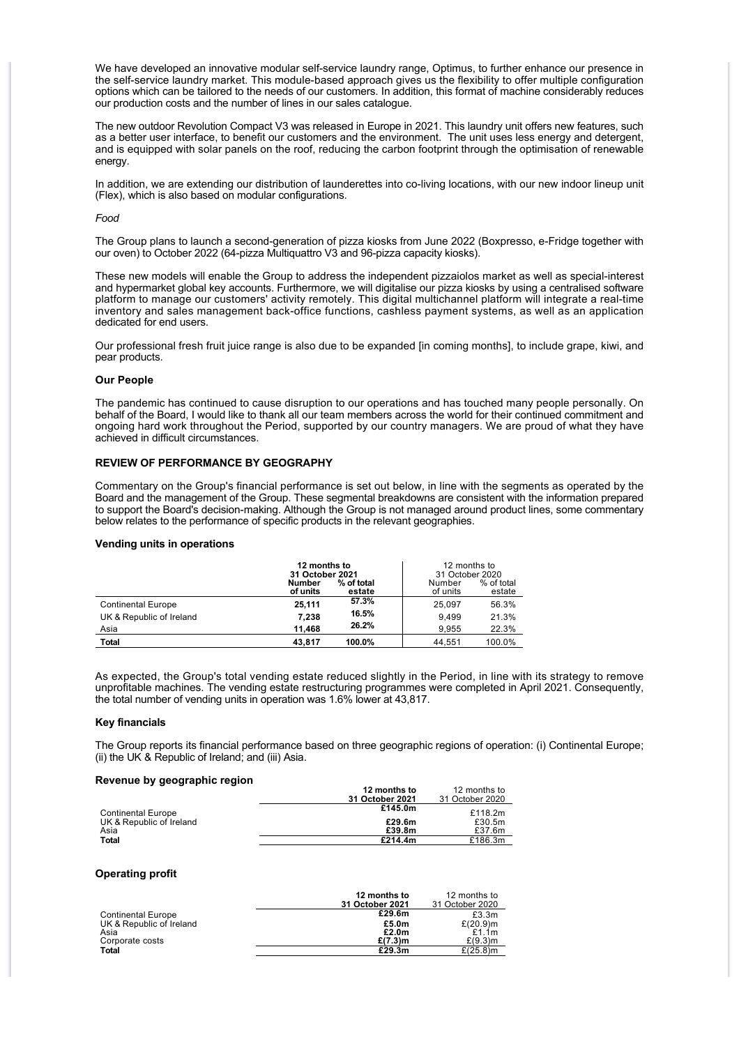We have developed an innovative modular self-service laundry range, Optimus, to further enhance our presence in the self-service laundry market. This module-based approach gives us the flexibility to offer multiple configuration options which can be tailored to the needs of our customers. In addition, this format of machine considerably reduces our production costs and the number of lines in our sales catalogue.

The new outdoor Revolution Compact V3 was released in Europe in 2021. This laundry unit offers new features, such as a better user interface, to benefit our customers and the environment. The unit uses less energy and detergent, and is equipped with solar panels on the roof, reducing the carbon footprint through the optimisation of renewable energy.

In addition, we are extending our distribution of launderettes into co-living locations, with our new indoor lineup unit (Flex), which is also based on modular configurations.

#### *Food*

The Group plans to launch a second-generation of pizza kiosks from June 2022 (Boxpresso, e-Fridge together with our oven) to October 2022 (64-pizza Multiquattro V3 and 96-pizza capacity kiosks).

These new models will enable the Group to address the independent pizzaiolos market as well as special-interest and hypermarket global key accounts. Furthermore, we will digitalise our pizza kiosks by using a centralised software platform to manage our customers' activity remotely. This digital multichannel platform will integrate a real-time inventory and sales management back-office functions, cashless payment systems, as well as an application dedicated for end users.

Our professional fresh fruit juice range is also due to be expanded [in coming months], to include grape, kiwi, and pear products.

#### **Our People**

The pandemic has continued to cause disruption to our operations and has touched many people personally. On behalf of the Board, I would like to thank all our team members across the world for their continued commitment and ongoing hard work throughout the Period, supported by our country managers. We are proud of what they have achieved in difficult circumstances.

#### **REVIEW OF PERFORMANCE BY GEOGRAPHY**

Commentary on the Group's financial performance is set out below, in line with the segments as operated by the Board and the management of the Group. These segmental breakdowns are consistent with the information prepared to support the Board's decision-making. Although the Group is not managed around product lines, some commentary below relates to the performance of specific products in the relevant geographies.

#### **Vending units in operations**

|                           | 12 months to<br>31 October 2021 |                      | 12 months to<br>31 October 2020 |                      |
|---------------------------|---------------------------------|----------------------|---------------------------------|----------------------|
|                           | Number<br>of units              | % of total<br>estate | Number<br>of units              | % of total<br>estate |
| <b>Continental Europe</b> | 25,111                          | 57.3%                | 25.097                          | 56.3%                |
| UK & Republic of Ireland  | 7.238                           | 16.5%                | 9.499                           | 21.3%                |
| Asia                      | 11.468                          | 26.2%                | 9.955                           | 22.3%                |
| Total                     | 43.817                          | 100.0%               | 44.551                          | 100.0%               |

As expected, the Group's total vending estate reduced slightly in the Period, in line with its strategy to remove unprofitable machines. The vending estate restructuring programmes were completed in April 2021. Consequently, the total number of vending units in operation was 1.6% lower at 43,817.

#### **Key financials**

The Group reports its financial performance based on three geographic regions of operation: (i) Continental Europe; (ii) the UK & Republic of Ireland; and (iii) Asia.

#### **Revenue by geographic region**

|                           | 12 months to    | 12 months to    |
|---------------------------|-----------------|-----------------|
|                           | 31 October 2021 | 31 October 2020 |
| <b>Continental Europe</b> | £145.0m         | £118.2m         |
| UK & Republic of Ireland  | £29.6m          | £30.5m          |
| Asia                      | £39.8m          | £37.6m          |
| Total                     | £214.4m         | £186.3m         |

#### **Operating profit**

|                           | 12 months to<br>31 October 2021 | 12 months to<br>31 October 2020 |
|---------------------------|---------------------------------|---------------------------------|
| <b>Continental Europe</b> | £29.6m                          | £3.3m                           |
| UK & Republic of Ireland  | £5.0m                           | £ $(20.9)$ m                    |
| Asia                      | £2.0m                           | £1.1 $m$                        |
| Corporate costs           | $£(7.3)$ m                      | $£(9.3)$ m                      |
| <b>Total</b>              | £29.3m                          | £ $(25.8)$ m                    |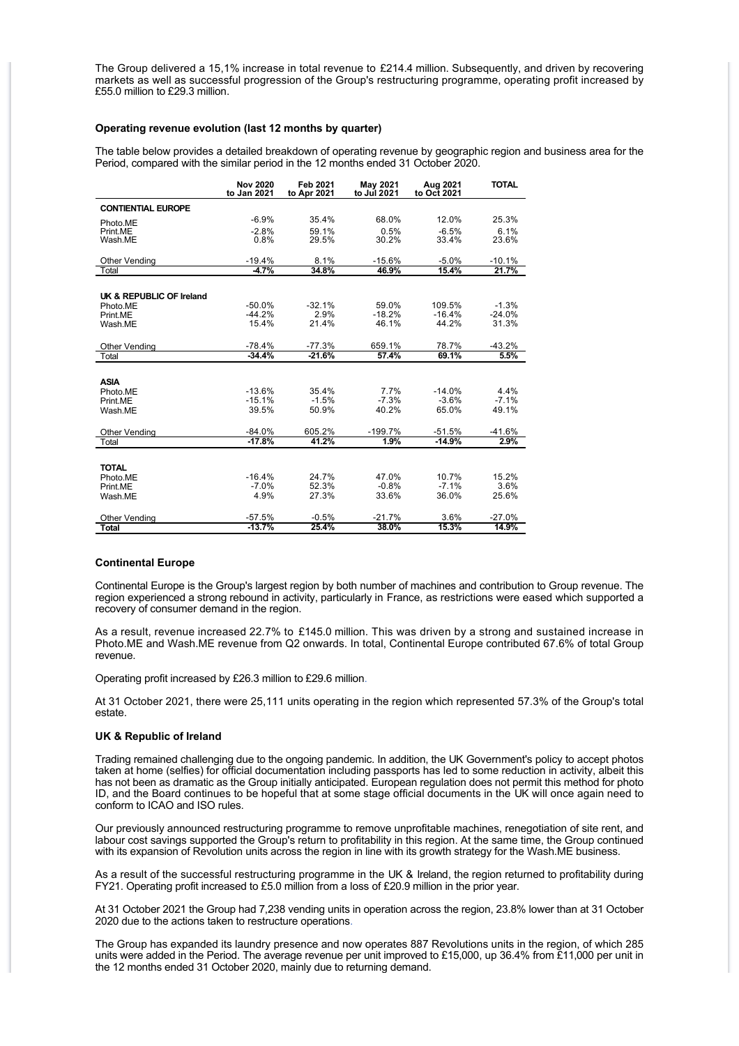The Group delivered a 15,1% increase in total revenue to £214.4 million. Subsequently, and driven by recovering markets as well as successful progression of the Group's restructuring programme, operating profit increased by £55.0 million to £29.3 million.

#### **Operating revenue evolution (last 12 months by quarter)**

The table below provides a detailed breakdown of operating revenue by geographic region and business area for the Period, compared with the similar period in the 12 months ended 31 October 2020.

|                               | <b>Nov 2020</b><br>to Jan 2021 | <b>Feb 2021</b><br>to Apr 2021 | May 2021<br>to Jul 2021 | Aug 2021<br>to Oct 2021 | <b>TOTAL</b> |
|-------------------------------|--------------------------------|--------------------------------|-------------------------|-------------------------|--------------|
| <b>CONTIENTIAL EUROPE</b>     |                                |                                |                         |                         |              |
| Photo.ME                      | $-6.9%$                        | 35.4%                          | 68.0%                   | 12.0%                   | 25.3%        |
| Print.ME                      | $-2.8%$                        | 59.1%                          | 0.5%                    | $-6.5%$                 | 6.1%         |
| Wash.ME                       | 0.8%                           | 29.5%                          | 30.2%                   | 33.4%                   | 23.6%        |
| <b>Other Vending</b>          | $-19.4%$                       | 8.1%                           | $-15.6%$                | $-5.0%$                 | $-10.1%$     |
| Total                         | $-4.7%$                        | 34.8%                          | 46.9%                   | 15.4%                   | 21.7%        |
|                               |                                |                                |                         |                         |              |
| UK & REPUBLIC OF Ireland      |                                |                                |                         |                         |              |
| Photo.ME                      | $-50.0%$                       | $-32.1%$                       | 59.0%                   | 109.5%                  | $-1.3%$      |
| Print.ME                      | $-44.2%$                       | 2.9%                           | $-18.2%$                | $-16.4%$                | $-24.0%$     |
| Wash.ME                       | 15.4%                          | 21.4%                          | 46.1%                   | 44.2%                   | 31.3%        |
|                               | $-78.4%$                       | $-77.3%$                       | 659.1%                  | 78.7%                   | $-43.2%$     |
| <b>Other Vending</b><br>Total | $-34.4%$                       | $-21.6%$                       | 57.4%                   | 69.1%                   | 5.5%         |
|                               |                                |                                |                         |                         |              |
|                               |                                |                                |                         |                         |              |
| <b>ASIA</b>                   | $-13.6%$                       | 35.4%                          | 7.7%                    | $-14.0%$                | 4.4%         |
| Photo.ME                      | $-15.1%$                       | $-1.5%$                        | $-7.3%$                 | $-3.6%$                 | $-7.1%$      |
| Print.ME                      | 39.5%                          | 50.9%                          | 40.2%                   | 65.0%                   | 49.1%        |
| Wash.ME                       |                                |                                |                         |                         |              |
| <b>Other Vending</b>          | $-84.0%$                       | 605.2%                         | $-199.7%$               | $-51.5%$                | $-41.6%$     |
| Total                         | $-17.8%$                       | 41.2%                          | 1.9%                    | $-14.9%$                | 2.9%         |
|                               |                                |                                |                         |                         |              |
| <b>TOTAL</b>                  |                                |                                |                         |                         |              |
| Photo.ME                      | $-16.4%$                       | 24.7%                          | 47.0%                   | 10.7%                   | 15.2%        |
| Print.ME                      | $-7.0%$                        | 52.3%                          | $-0.8%$                 | $-7.1%$                 | 3.6%         |
| Wash.ME                       | 4.9%                           | 27.3%                          | 33.6%                   | 36.0%                   | 25.6%        |
|                               |                                |                                |                         |                         |              |
| <b>Other Vending</b>          | $-57.5%$                       | $-0.5%$                        | $-21.7%$                | 3.6%                    | $-27.0%$     |
| <b>Total</b>                  | $-13.7%$                       | 25.4%                          | 38.0%                   | 15.3%                   | 14.9%        |

#### **Continental Europe**

Continental Europe is the Group's largest region by both number of machines and contribution to Group revenue. The region experienced a strong rebound in activity, particularly in France, as restrictions were eased which supported a recovery of consumer demand in the region.

As a result, revenue increased 22.7% to £145.0 million. This was driven by a strong and sustained increase in Photo.ME and Wash.ME revenue from Q2 onwards. In total, Continental Europe contributed 67.6% of total Group revenue.

Operating profit increased by £26.3 million to £29.6 million.

At 31 October 2021, there were 25,111 units operating in the region which represented 57.3% of the Group's total estate.

#### **UK & Republic of Ireland**

Trading remained challenging due to the ongoing pandemic. In addition, the UK Government's policy to accept photos taken at home (selfies) for official documentation including passports has led to some reduction in activity, albeit this has not been as dramatic as the Group initially anticipated. European regulation does not permit this method for photo ID, and the Board continues to be hopeful that at some stage official documents in the UK will once again need to conform to ICAO and ISO rules.

Our previously announced restructuring programme to remove unprofitable machines, renegotiation of site rent, and labour cost savings supported the Group's return to profitability in this region. At the same time, the Group continued with its expansion of Revolution units across the region in line with its growth strategy for the Wash.ME business.

As a result of the successful restructuring programme in the UK & Ireland, the region returned to profitability during FY21. Operating profit increased to £5.0 million from a loss of £20.9 million in the prior year.

At 31 October 2021 the Group had 7,238 vending units in operation across the region, 23.8% lower than at 31 October 2020 due to the actions taken to restructure operations.

The Group has expanded its laundry presence and now operates 887 Revolutions units in the region, of which 285 units were added in the Period. The average revenue per unit improved to £15,000, up 36.4% from £11,000 per unit in the 12 months ended 31 October 2020, mainly due to returning demand.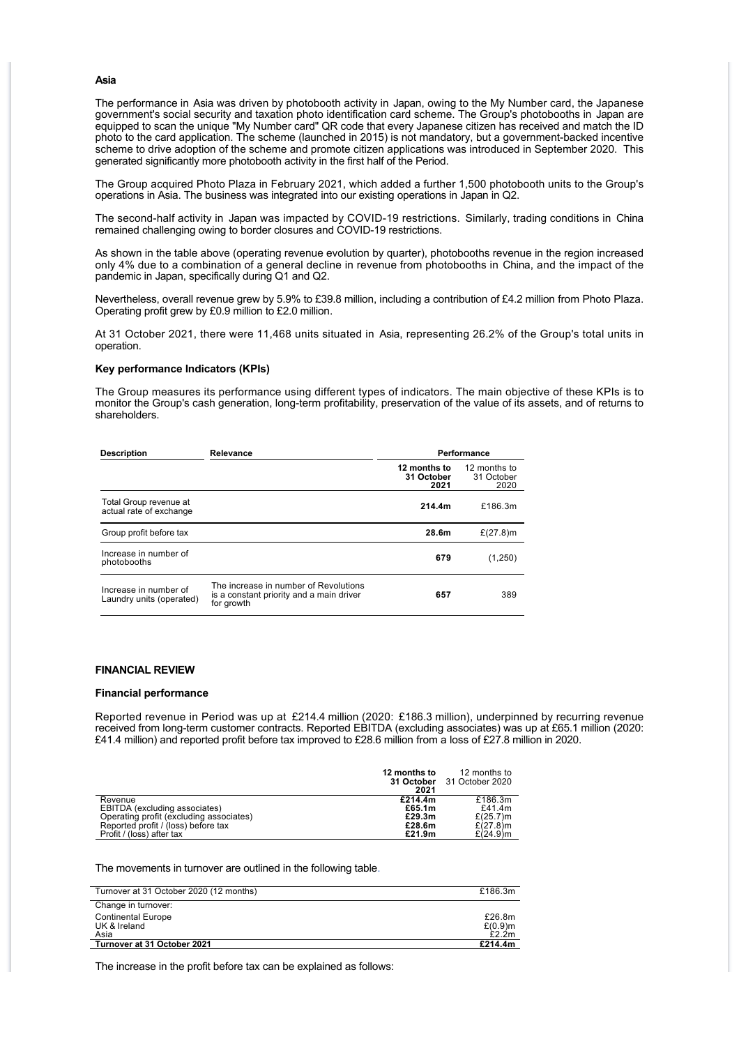#### **Asia**

The performance in Asia was driven by photobooth activity in Japan, owing to the My Number card, the Japanese government's social security and taxation photo identification card scheme. The Group's photobooths in Japan are equipped to scan the unique "My Number card" QR code that every Japanese citizen has received and match the ID photo to the card application. The scheme (launched in 2015) is not mandatory, but a government-backed incentive scheme to drive adoption of the scheme and promote citizen applications was introduced in September 2020. This generated significantly more photobooth activity in the first half of the Period.

The Group acquired Photo Plaza in February 2021, which added a further 1,500 photobooth units to the Group's operations in Asia. The business was integrated into our existing operations in Japan in Q2.

The second-half activity in Japan was impacted by COVID-19 restrictions. Similarly, trading conditions in China remained challenging owing to border closures and COVID-19 restrictions.

As shown in the table above (operating revenue evolution by quarter), photobooths revenue in the region increased only 4% due to a combination of a general decline in revenue from photobooths in China, and the impact of the pandemic in Japan, specifically during Q1 and Q2.

Nevertheless, overall revenue grew by 5.9% to £39.8 million, including a contribution of £4.2 million from Photo Plaza. Operating profit grew by £0.9 million to £2.0 million.

At 31 October 2021, there were 11,468 units situated in Asia, representing 26.2% of the Group's total units in operation.

#### **Key performance Indicators (KPIs)**

The Group measures its performance using different types of indicators. The main objective of these KPIs is to monitor the Group's cash generation, long-term profitability, preservation of the value of its assets, and of returns to shareholders.

| <b>Description</b>                                | Relevance                                                                                       | Performance                        |                                    |
|---------------------------------------------------|-------------------------------------------------------------------------------------------------|------------------------------------|------------------------------------|
|                                                   |                                                                                                 | 12 months to<br>31 October<br>2021 | 12 months to<br>31 October<br>2020 |
| Total Group revenue at<br>actual rate of exchange |                                                                                                 | 214.4m                             | £186.3m                            |
| Group profit before tax                           |                                                                                                 | 28.6m                              | £ $(27.8)$ m                       |
| Increase in number of<br>photobooths              |                                                                                                 | 679                                | (1,250)                            |
| Increase in number of<br>Laundry units (operated) | The increase in number of Revolutions<br>is a constant priority and a main driver<br>for growth | 657                                | 389                                |

#### **FINANCIAL REVIEW**

#### **Financial performance**

Reported revenue in Period was up at £214.4 million (2020: £186.3 million), underpinned by recurring revenue received from long-term customer contracts. Reported EBITDA (excluding associates) was up at £65.1 million (2020: £41.4 million) and reported profit before tax improved to £28.6 million from a loss of £27.8 million in 2020.

|                                         | 12 months to<br>2021 | 12 months to<br>31 October 31 October 2020 |
|-----------------------------------------|----------------------|--------------------------------------------|
| Revenue                                 | £214.4m              | £186.3m                                    |
| EBITDA (excluding associates)           | £65.1m               | £41.4 $m$                                  |
| Operating profit (excluding associates) | £29.3m               | $£(25.7)$ m                                |
| Reported profit / (loss) before tax     | £28.6m               | £ $(27.8)$ m                               |
| Profit / (loss) after tax               | £21.9m               | £ $(24.9)$ m                               |

The movements in turnover are outlined in the following table.

| Turnover at 31 October 2020 (12 months)           | £186.3m                       |
|---------------------------------------------------|-------------------------------|
| Change in turnover:                               |                               |
| <b>Continental Europe</b><br>UK & Ireland<br>Asia | £26.8m<br>$£(0.9)$ m<br>£2.2m |
| Turnover at 31 October 2021                       | £214.4m                       |

The increase in the profit before tax can be explained as follows: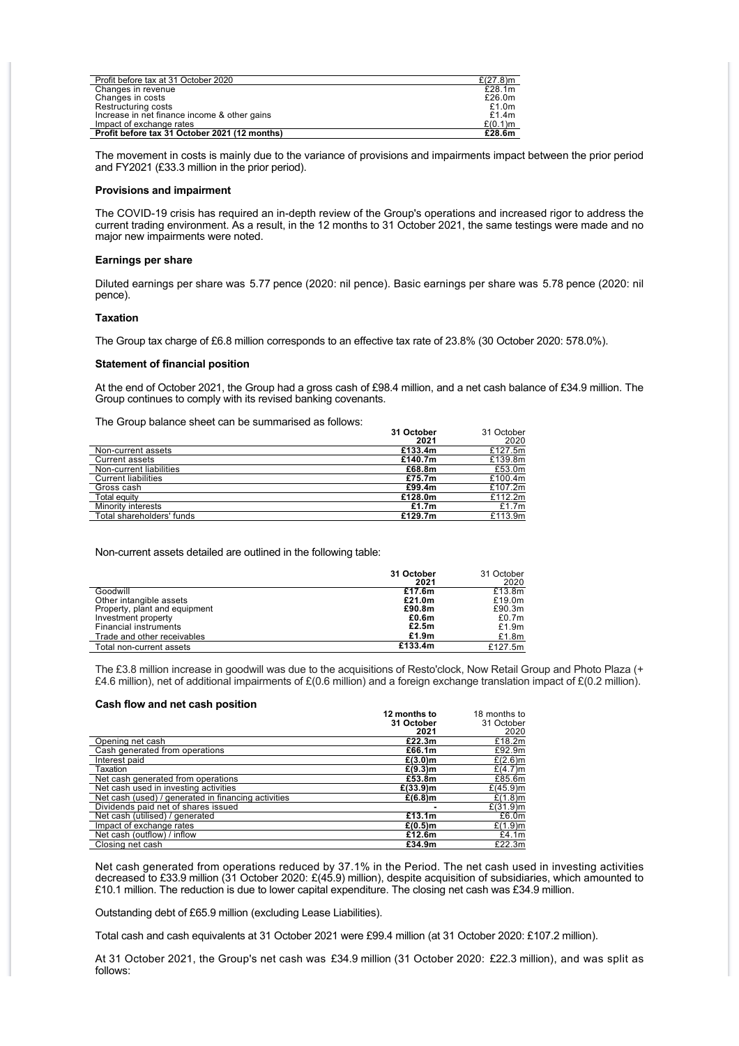| Profit before tax at 31 October 2020          | £ $(27.8)$ m |
|-----------------------------------------------|--------------|
| Changes in revenue                            | £28.1m       |
| Changes in costs                              | £26.0m       |
| Restructuring costs                           | £1.0m        |
| Increase in net finance income & other gains  | £1.4 $m$     |
| Impact of exchange rates                      | $£(0.1)$ m   |
| Profit before tax 31 October 2021 (12 months) | £28.6m       |

The movement in costs is mainly due to the variance of provisions and impairments impact between the prior period and FY2021 (£33.3 million in the prior period).

#### **Provisions and impairment**

The COVID-19 crisis has required an in-depth review of the Group's operations and increased rigor to address the current trading environment. As a result, in the 12 months to 31 October 2021, the same testings were made and no major new impairments were noted.

#### **Earnings per share**

Diluted earnings per share was 5.77 pence (2020: nil pence). Basic earnings per share was 5.78 pence (2020: nil pence).

#### **Taxation**

The Group tax charge of £6.8 million corresponds to an effective tax rate of 23.8% (30 October 2020: 578.0%).

#### **Statement of financial position**

At the end of October 2021, the Group had a gross cash of £98.4 million, and a net cash balance of £34.9 million. The Group continues to comply with its revised banking covenants.

The Group balance sheet can be summarised as follows:

| The Group balance sheet can be summarised as idilows. |            |            |
|-------------------------------------------------------|------------|------------|
|                                                       | 31 October | 31 October |
|                                                       | 2021       | 2020       |
| Non-current assets                                    | £133.4m    | £127.5m    |
| Current assets                                        | £140.7m    | £139.8m    |
| Non-current liabilities                               | £68.8m     | £53.0m     |
| <b>Current liabilities</b>                            | £75.7 $m$  | £100.4m    |
| Gross cash                                            | £99.4m     | £107.2m    |
| Total equity                                          | £128.0m    | £112.2 $m$ |
| Minority interests                                    | £1.7m      | £1.7 $m$   |
| Total shareholders' funds                             | £129.7m    | £113.9m    |
|                                                       |            |            |

Non-current assets detailed are outlined in the following table:

|                               | 31 October | 31 October |
|-------------------------------|------------|------------|
|                               | 2021       | 2020       |
| Goodwill                      | £17.6m     | £13.8m     |
| Other intangible assets       | £21.0m     | £19.0m     |
| Property, plant and equipment | £90.8m     | £90.3m     |
| Investment property           | £0.6m      | £0.7m      |
| <b>Financial instruments</b>  | £2.5m      | £1.9m      |
| Trade and other receivables   | £1.9m      | £1.8m      |
| Total non-current assets      | £133.4m    | £127.5m    |

The £3.8 million increase in goodwill was due to the acquisitions of Resto'clock, Now Retail Group and Photo Plaza (+ £4.6 million), net of additional impairments of £(0.6 million) and a foreign exchange translation impact of £(0.2 million).

#### **Cash flow and net cash position**

| Cash How and het cash position                      |              |              |
|-----------------------------------------------------|--------------|--------------|
|                                                     | 12 months to | 18 months to |
|                                                     | 31 October   | 31 October   |
|                                                     | 2021         | 2020         |
| Opening net cash                                    | £22.3m       | £18.2m       |
| Cash generated from operations                      | £66.1m       | £92.9m       |
| Interest paid                                       | $£(3.0)$ m   | $£(2.6)$ m   |
| Taxation                                            | $£(9.3)$ m   | $£(4.7)$ m   |
| Net cash generated from operations                  | £53.8m       | £85.6m       |
| Net cash used in investing activities               | £(33.9) m    | £ $(45.9)$ m |
| Net cash (used) / generated in financing activities | $£(6.8)$ m   | $£(1.8)$ m   |
| Dividends paid net of shares issued                 |              | £(31.9)m     |
| Net cash (utilised) / generated                     | £13.1m       | £6.0m        |
| Impact of exchange rates                            | $£(0.5)$ m   | $£(1.9)$ m   |
| Net cash (outflow) / inflow                         | £12.6m       | £4.1 $m$     |
| Closing net cash                                    | £34.9m       | £22.3m       |

Net cash generated from operations reduced by 37.1% in the Period. The net cash used in investing activities decreased to £33.9 million (31 October 2020: £(45.9) million), despite acquisition of subsidiaries, which amounted to £10.1 million. The reduction is due to lower capital expenditure. The closing net cash was £34.9 million.

Outstanding debt of £65.9 million (excluding Lease Liabilities).

Total cash and cash equivalents at 31 October 2021 were £99.4 million (at 31 October 2020: £107.2 million).

At 31 October 2021, the Group's net cash was £34.9 million (31 October 2020: £22.3 million), and was split as follows: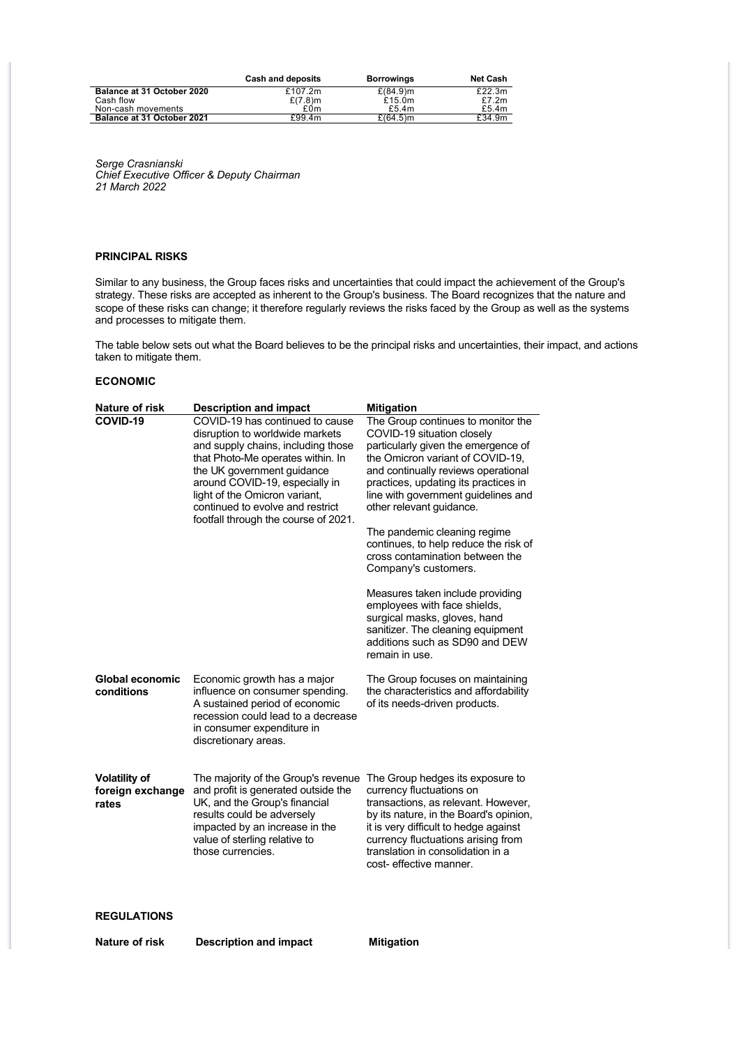|                                   | Cash and deposits | <b>Borrowings</b> | <b>Net Cash</b> |
|-----------------------------------|-------------------|-------------------|-----------------|
| Balance at 31 October 2020        | £107.2 $m$        | $£(84.9)$ m       | £22.3m          |
| Cash flow                         | $£(7.8)$ m        | £15.0 $m$         | £7.2m           |
| Non-cash movements                | £0m               | £5.4 $m$          | £5.4 $m$        |
| <b>Balance at 31 October 2021</b> | £99.4m            | $£(64.5)$ m       | £34.9m          |

*Serge Crasnianski Chief Executive Officer & Deputy Chairman 21 March 2022*

#### **PRINCIPAL RISKS**

Similar to any business, the Group faces risks and uncertainties that could impact the achievement of the Group's strategy. These risks are accepted as inherent to the Group's business. The Board recognizes that the nature and scope of these risks can change; it therefore regularly reviews the risks faced by the Group as well as the systems and processes to mitigate them.

The table below sets out what the Board believes to be the principal risks and uncertainties, their impact, and actions taken to mitigate them.

#### **ECONOMIC**

| <b>Nature of risk</b>                             | <b>Description and impact</b>                                                                                                                                                                                                                                                                                              | <b>Mitigation</b>                                                                                                                                                                                                                                                                                                                                                                                                                                                                                                                                                                                                              |
|---------------------------------------------------|----------------------------------------------------------------------------------------------------------------------------------------------------------------------------------------------------------------------------------------------------------------------------------------------------------------------------|--------------------------------------------------------------------------------------------------------------------------------------------------------------------------------------------------------------------------------------------------------------------------------------------------------------------------------------------------------------------------------------------------------------------------------------------------------------------------------------------------------------------------------------------------------------------------------------------------------------------------------|
| COVID-19                                          | COVID-19 has continued to cause<br>disruption to worldwide markets<br>and supply chains, including those<br>that Photo-Me operates within. In<br>the UK government guidance<br>around COVID-19, especially in<br>light of the Omicron variant,<br>continued to evolve and restrict<br>footfall through the course of 2021. | The Group continues to monitor the<br>COVID-19 situation closely<br>particularly given the emergence of<br>the Omicron variant of COVID-19,<br>and continually reviews operational<br>practices, updating its practices in<br>line with government guidelines and<br>other relevant guidance.<br>The pandemic cleaning regime<br>continues, to help reduce the risk of<br>cross contamination between the<br>Company's customers.<br>Measures taken include providing<br>employees with face shields,<br>surgical masks, gloves, hand<br>sanitizer. The cleaning equipment<br>additions such as SD90 and DEW<br>remain in use. |
| Global economic<br>conditions                     | Economic growth has a major<br>influence on consumer spending.<br>A sustained period of economic<br>recession could lead to a decrease<br>in consumer expenditure in<br>discretionary areas.                                                                                                                               | The Group focuses on maintaining<br>the characteristics and affordability<br>of its needs-driven products.                                                                                                                                                                                                                                                                                                                                                                                                                                                                                                                     |
| <b>Volatility of</b><br>foreign exchange<br>rates | The majority of the Group's revenue<br>and profit is generated outside the<br>UK, and the Group's financial<br>results could be adversely<br>impacted by an increase in the<br>value of sterling relative to<br>those currencies.                                                                                          | The Group hedges its exposure to<br>currency fluctuations on<br>transactions, as relevant. However,<br>by its nature, in the Board's opinion,<br>it is very difficult to hedge against<br>currency fluctuations arising from<br>translation in consolidation in a<br>cost-effective manner.                                                                                                                                                                                                                                                                                                                                    |
| <b>REGULATIONS</b>                                |                                                                                                                                                                                                                                                                                                                            |                                                                                                                                                                                                                                                                                                                                                                                                                                                                                                                                                                                                                                |
| Nature of risk                                    | <b>Description and impact</b>                                                                                                                                                                                                                                                                                              | <b>Mitigation</b>                                                                                                                                                                                                                                                                                                                                                                                                                                                                                                                                                                                                              |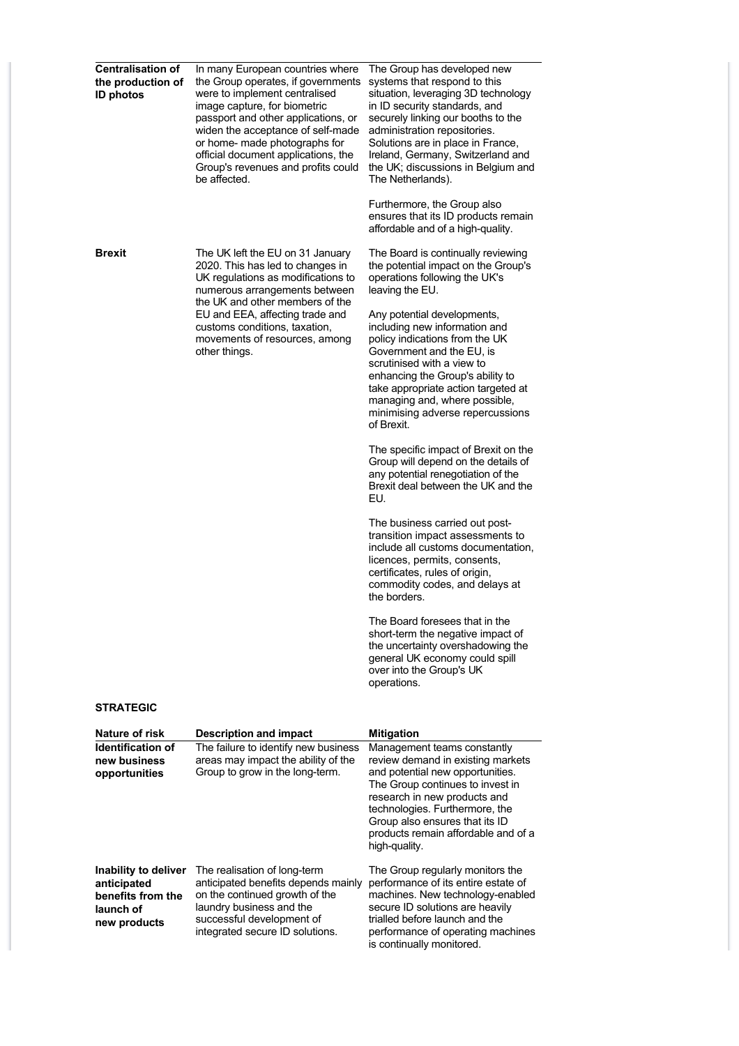| <b>Centralisation of</b><br>the production of<br><b>ID photos</b> | In many European countries where<br>the Group operates, if governments<br>were to implement centralised<br>image capture, for biometric<br>passport and other applications, or<br>widen the acceptance of self-made<br>or home- made photographs for<br>official document applications, the<br>Group's revenues and profits could<br>be affected. | The Group has developed new<br>systems that respond to this<br>situation, leveraging 3D technology<br>in ID security standards, and<br>securely linking our booths to the<br>administration repositories.<br>Solutions are in place in France.<br>Ireland, Germany, Switzerland and<br>the UK; discussions in Belgium and<br>The Netherlands). |  |  |
|-------------------------------------------------------------------|---------------------------------------------------------------------------------------------------------------------------------------------------------------------------------------------------------------------------------------------------------------------------------------------------------------------------------------------------|------------------------------------------------------------------------------------------------------------------------------------------------------------------------------------------------------------------------------------------------------------------------------------------------------------------------------------------------|--|--|
|                                                                   |                                                                                                                                                                                                                                                                                                                                                   | Furthermore, the Group also<br>ensures that its ID products remain<br>affordable and of a high-quality.                                                                                                                                                                                                                                        |  |  |
| <b>Brexit</b>                                                     | The UK left the EU on 31 January<br>2020. This has led to changes in<br>UK regulations as modifications to<br>numerous arrangements between<br>the UK and other members of the                                                                                                                                                                    | The Board is continually reviewing<br>the potential impact on the Group's<br>operations following the UK's<br>leaving the EU.                                                                                                                                                                                                                  |  |  |
|                                                                   | EU and EEA, affecting trade and<br>customs conditions, taxation,<br>movements of resources, among<br>other things.                                                                                                                                                                                                                                | Any potential developments,<br>including new information and<br>policy indications from the UK<br>Government and the EU, is<br>scrutinised with a view to<br>enhancing the Group's ability to<br>take appropriate action targeted at<br>managing and, where possible,<br>minimising adverse repercussions<br>of Brexit.                        |  |  |
|                                                                   |                                                                                                                                                                                                                                                                                                                                                   | The specific impact of Brexit on the<br>Group will depend on the details of<br>any potential renegotiation of the<br>Brexit deal between the UK and the<br>EU.                                                                                                                                                                                 |  |  |
|                                                                   |                                                                                                                                                                                                                                                                                                                                                   | The business carried out post-<br>transition impact assessments to<br>include all customs documentation.<br>licences, permits, consents,<br>certificates, rules of origin,<br>commodity codes, and delays at<br>the borders.                                                                                                                   |  |  |
|                                                                   |                                                                                                                                                                                                                                                                                                                                                   | The Board foresees that in the<br>short-term the negative impact of<br>the uncertainty overshadowing the<br>general UK economy could spill<br>over into the Group's UK<br>operations.                                                                                                                                                          |  |  |
| <b>STRATEGIC</b>                                                  |                                                                                                                                                                                                                                                                                                                                                   |                                                                                                                                                                                                                                                                                                                                                |  |  |
| Nature of risk                                                    | <b>Description and impact</b>                                                                                                                                                                                                                                                                                                                     | <b>Mitigation</b>                                                                                                                                                                                                                                                                                                                              |  |  |
| <b>Identification of</b><br>new business<br>opportunities         | The failure to identify new business<br>areas may impact the ability of the<br>Group to grow in the long-term.                                                                                                                                                                                                                                    | Management teams constantly<br>review demand in existing markets<br>and potential new opportunities.<br>The Group continues to invest in<br>research in new products and<br>technologies. Furthermore, the<br>Group also ensures that its ID<br>products remain affordable and of a<br>high-quality.                                           |  |  |

**Inability to deliver anticipated benefits from the launch of new products** The realisation of long-term anticipated benefits depends mainly on the continued growth of the laundry business and the successful development of Figure commed grown of the<br>laundry business and the<br>successful development of<br>integrated secure ID solutions. The Group regularly monitors the performance of its entire estate of machines. New technology-enabled secure ID solutions are heavily trialled before launch and the performance of operating machines is continually monitored.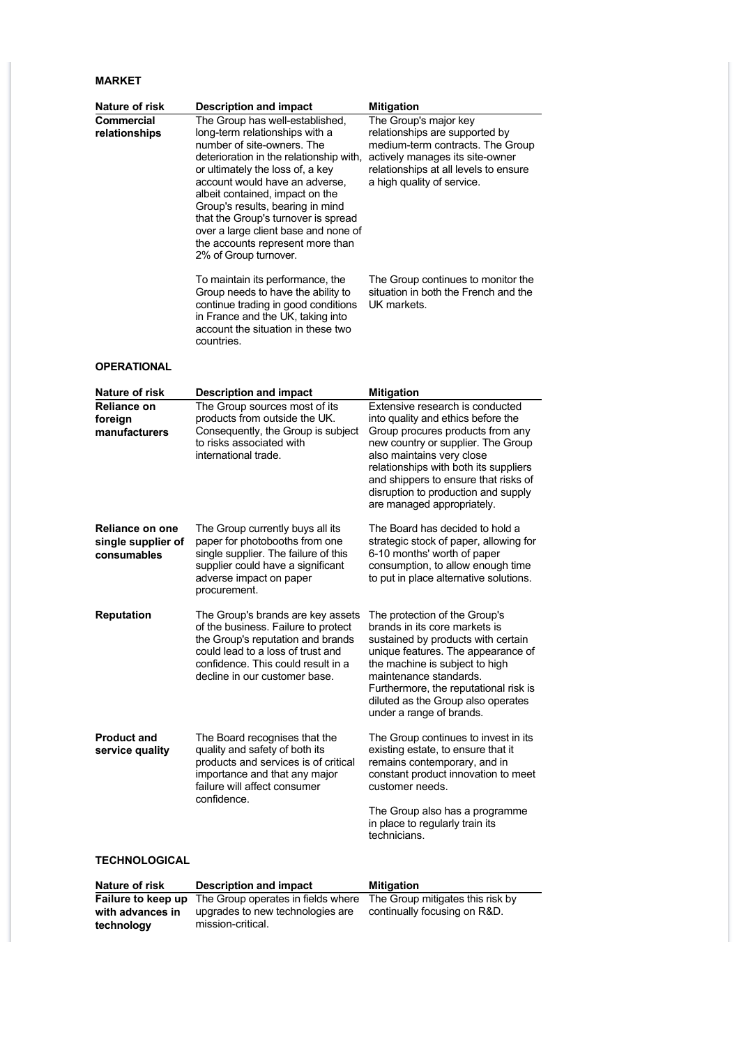### **MARKET**

**technology**

| Nature of risk                                              | <b>Description and impact</b>                                                                                                                                                                                                                                                                                                                                                                                                       | <b>Mitigation</b>                                                                                                                                                                                                                                                                                                                  |
|-------------------------------------------------------------|-------------------------------------------------------------------------------------------------------------------------------------------------------------------------------------------------------------------------------------------------------------------------------------------------------------------------------------------------------------------------------------------------------------------------------------|------------------------------------------------------------------------------------------------------------------------------------------------------------------------------------------------------------------------------------------------------------------------------------------------------------------------------------|
| Commercial<br>relationships                                 | The Group has well-established,<br>long-term relationships with a<br>number of site-owners. The<br>deterioration in the relationship with,<br>or ultimately the loss of, a key<br>account would have an adverse,<br>albeit contained, impact on the<br>Group's results, bearing in mind<br>that the Group's turnover is spread<br>over a large client base and none of<br>the accounts represent more than<br>2% of Group turnover. | The Group's major key<br>relationships are supported by<br>medium-term contracts. The Group<br>actively manages its site-owner<br>relationships at all levels to ensure<br>a high quality of service.                                                                                                                              |
|                                                             | To maintain its performance, the<br>Group needs to have the ability to<br>continue trading in good conditions<br>in France and the UK, taking into<br>account the situation in these two<br>countries.                                                                                                                                                                                                                              | The Group continues to monitor the<br>situation in both the French and the<br>UK markets.                                                                                                                                                                                                                                          |
| <b>OPERATIONAL</b>                                          |                                                                                                                                                                                                                                                                                                                                                                                                                                     |                                                                                                                                                                                                                                                                                                                                    |
| Nature of risk                                              | <b>Description and impact</b>                                                                                                                                                                                                                                                                                                                                                                                                       | Mitigation                                                                                                                                                                                                                                                                                                                         |
| Reliance on<br>foreign<br>manufacturers                     | The Group sources most of its<br>products from outside the UK.<br>Consequently, the Group is subject<br>to risks associated with<br>international trade.                                                                                                                                                                                                                                                                            | Extensive research is conducted<br>into quality and ethics before the<br>Group procures products from any<br>new country or supplier. The Group<br>also maintains very close<br>relationships with both its suppliers<br>and shippers to ensure that risks of<br>disruption to production and supply<br>are managed appropriately. |
| <b>Reliance on one</b><br>single supplier of<br>consumables | The Group currently buys all its<br>paper for photobooths from one<br>single supplier. The failure of this<br>supplier could have a significant<br>adverse impact on paper<br>procurement.                                                                                                                                                                                                                                          | The Board has decided to hold a<br>strategic stock of paper, allowing for<br>6-10 months' worth of paper<br>consumption, to allow enough time<br>to put in place alternative solutions.                                                                                                                                            |
| <b>Reputation</b>                                           | The Group's brands are key assets<br>of the business. Failure to protect<br>the Group's reputation and brands<br>could lead to a loss of trust and<br>confidence. This could result in a<br>decline in our customer base.                                                                                                                                                                                                           | The protection of the Group's<br>brands in its core markets is<br>sustained by products with certain<br>unique features. The appearance of<br>the machine is subject to high<br>maintenance standards.<br>Furthermore, the reputational risk is<br>diluted as the Group also operates<br>under a range of brands.                  |
| <b>Product and</b><br>service quality                       | The Board recognises that the<br>quality and safety of both its<br>products and services is of critical<br>importance and that any major<br>failure will affect consumer<br>confidence.                                                                                                                                                                                                                                             | The Group continues to invest in its<br>existing estate, to ensure that it<br>remains contemporary, and in<br>constant product innovation to meet<br>customer needs.<br>The Group also has a programme<br>in place to regularly train its<br>technicians.                                                                          |
| TECHNOLOGICAL                                               |                                                                                                                                                                                                                                                                                                                                                                                                                                     |                                                                                                                                                                                                                                                                                                                                    |
| Nature of risk                                              | <b>Description and impact</b>                                                                                                                                                                                                                                                                                                                                                                                                       | <b>Mitigation</b>                                                                                                                                                                                                                                                                                                                  |
| Failure to keep up                                          | The Group operates in fields where                                                                                                                                                                                                                                                                                                                                                                                                  | The Group mitigates this risk by                                                                                                                                                                                                                                                                                                   |

**with advances in** The Group operates in fields where upgrades to new technologies are mission-critical. continually focusing on R&D.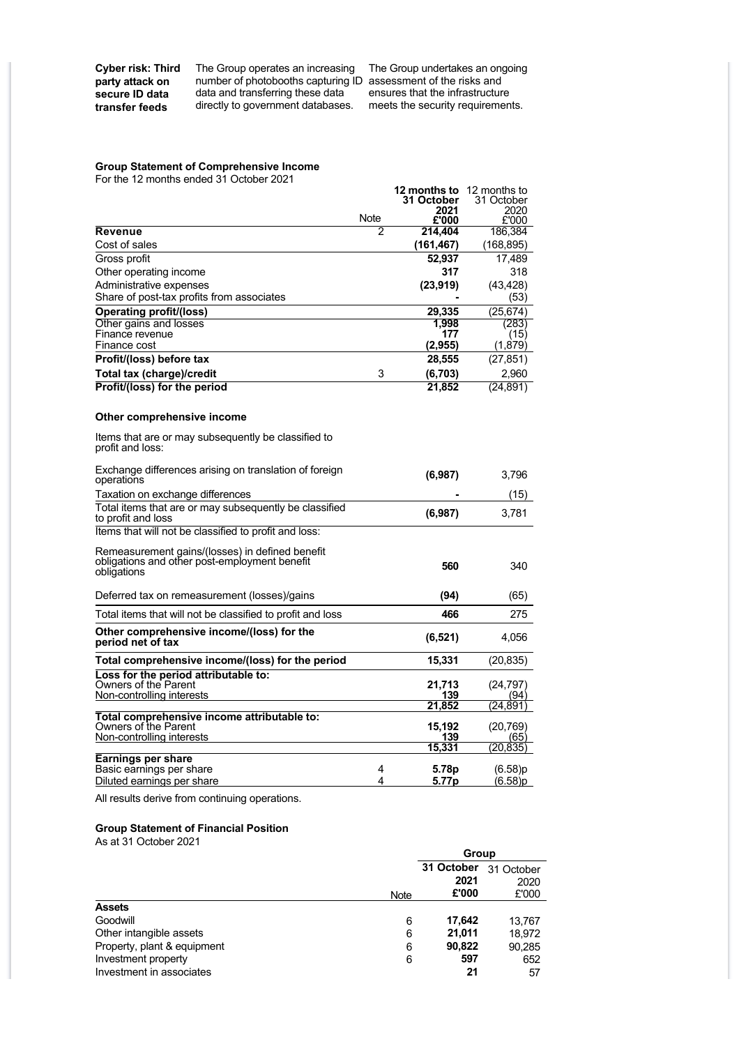**Cyber risk: Third party attack on secure ID data transfer feeds**

The Group operates an increasing number of photobooths capturing ID data and transferring these data directly to government databases.

The Group undertakes an ongoing assessment of the risks and ensures that the infrastructure meets the security requirements.

#### **Group Statement of Comprehensive Income**

For the 12 months ended 31 October 2021

|                                                                                                                 |      | 12 months to  | 12 months to     |
|-----------------------------------------------------------------------------------------------------------------|------|---------------|------------------|
|                                                                                                                 |      | 31 October    | 31 October       |
|                                                                                                                 | Note | 2021<br>£'000 | 2020<br>£'000    |
| Revenue                                                                                                         | 2    | 214,404       | 186,384          |
| Cost of sales                                                                                                   |      | (161, 467)    | (168,895)        |
| Gross profit                                                                                                    |      | 52,937        | 17,489           |
| Other operating income                                                                                          |      | 317           | 318              |
| Administrative expenses                                                                                         |      | (23, 919)     | (43, 428)        |
| Share of post-tax profits from associates                                                                       |      |               | (53)             |
| <b>Operating profit/(loss)</b>                                                                                  |      | 29.335        | (25, 674)        |
| Other gains and losses                                                                                          |      | 1.998         | (283)            |
| Finance revenue                                                                                                 |      | 177           | (15)             |
| Finance cost                                                                                                    |      | (2,955)       | (1,879)          |
| Profit/(loss) before tax                                                                                        |      | 28,555        | (27, 851)        |
| Total tax (charge)/credit                                                                                       | 3    | (6,703)       | 2,960            |
| Profit/(loss) for the period                                                                                    |      | 21,852        | (24,891)         |
| Other comprehensive income                                                                                      |      |               |                  |
| Items that are or may subsequently be classified to<br>profit and loss:                                         |      |               |                  |
| Exchange differences arising on translation of foreign<br>operations                                            |      | (6,987)       | 3,796            |
| Taxation on exchange differences                                                                                |      |               | (15)             |
| Total items that are or may subsequently be classified<br>to profit and loss                                    |      | (6,987)       | 3,781            |
| Items that will not be classified to profit and loss:                                                           |      |               |                  |
| Remeasurement gains/(losses) in defined benefit<br>obligations and other post-employment benefit<br>obligations |      | 560           | 340              |
| Deferred tax on remeasurement (losses)/gains                                                                    |      | (94)          | (65)             |
| Total items that will not be classified to profit and loss                                                      |      | 466           | 275              |
| Other comprehensive income/(loss) for the<br>period net of tax                                                  |      | (6, 521)      | 4,056            |
| Total comprehensive income/(loss) for the period                                                                |      | 15,331        | (20,835)         |
| Loss for the period attributable to:                                                                            |      |               |                  |
| Owners of the Parent<br>Non-controlling interests                                                               |      | 21,713<br>139 | (24,797)<br>(94) |
|                                                                                                                 |      | 21,852        | (24,891)         |
| Total comprehensive income attributable to:                                                                     |      |               |                  |
| Owners of the Parent                                                                                            |      | 15,192        | (20,769)         |
| Non-controlling interests                                                                                       |      | 139<br>15,331 | (65)<br>(20.835) |
| Earnings per share                                                                                              |      |               |                  |
| Basic earnings per share                                                                                        | 4    | 5.78p         | (6.58)p          |
| Diluted earnings per share                                                                                      | 4    | 5.77p         | (6.58)p          |

All results derive from continuing operations.

#### **Group Statement of Financial Position**

As at 31 October 2021

|                             |             | Group      |            |  |
|-----------------------------|-------------|------------|------------|--|
|                             |             | 31 October | 31 October |  |
|                             |             | 2021       | 2020       |  |
|                             | <b>Note</b> | £'000      | £'000      |  |
| <b>Assets</b>               |             |            |            |  |
| Goodwill                    | 6           | 17,642     | 13.767     |  |
| Other intangible assets     | 6           | 21,011     | 18,972     |  |
| Property, plant & equipment | 6           | 90.822     | 90,285     |  |
| Investment property         | 6           | 597        | 652        |  |
| Investment in associates    |             | 21         | 57         |  |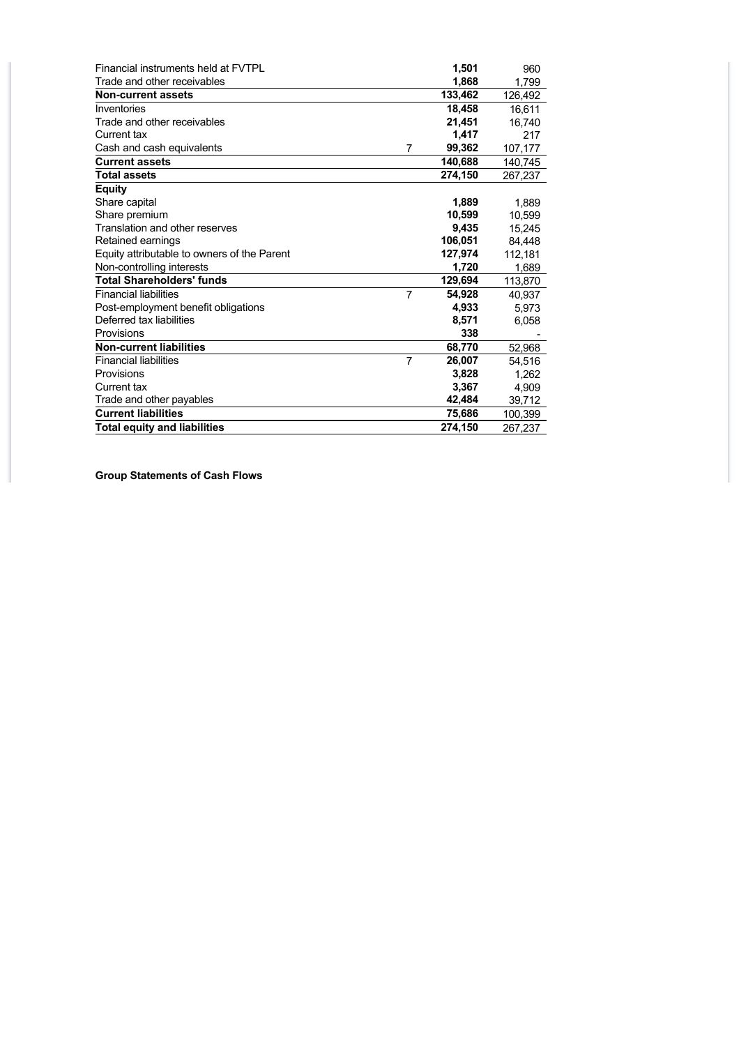| Financial instruments held at FVTPL         |                | 1,501   | 960     |
|---------------------------------------------|----------------|---------|---------|
| Trade and other receivables                 |                | 1,868   | 1,799   |
| <b>Non-current assets</b>                   |                | 133,462 | 126,492 |
| Inventories                                 |                | 18,458  | 16,611  |
| Trade and other receivables                 |                | 21,451  | 16.740  |
| Current tax                                 |                | 1,417   | 217     |
| Cash and cash equivalents                   | 7              | 99,362  | 107,177 |
| <b>Current assets</b>                       |                | 140,688 | 140,745 |
| <b>Total assets</b>                         |                | 274,150 | 267,237 |
| <b>Equity</b>                               |                |         |         |
| Share capital                               |                | 1,889   | 1,889   |
| Share premium                               |                | 10,599  | 10,599  |
| Translation and other reserves              |                | 9,435   | 15.245  |
| Retained earnings                           |                | 106,051 | 84,448  |
| Equity attributable to owners of the Parent |                | 127,974 | 112,181 |
| Non-controlling interests                   |                | 1,720   | 1,689   |
| <b>Total Shareholders' funds</b>            |                | 129,694 | 113,870 |
| <b>Financial liabilities</b>                | $\overline{7}$ | 54,928  | 40,937  |
| Post-employment benefit obligations         |                | 4,933   | 5,973   |
| Deferred tax liabilities                    |                | 8,571   | 6,058   |
| Provisions                                  |                | 338     |         |
| <b>Non-current liabilities</b>              |                | 68,770  | 52,968  |
| <b>Financial liabilities</b>                | $\overline{7}$ | 26,007  | 54,516  |
| Provisions                                  |                | 3,828   | 1,262   |
| Current tax                                 |                | 3,367   | 4,909   |
| Trade and other payables                    |                | 42,484  | 39,712  |
| <b>Current liabilities</b>                  |                | 75,686  | 100,399 |
| <b>Total equity and liabilities</b>         |                | 274.150 | 267,237 |

**Group Statements of Cash Flows**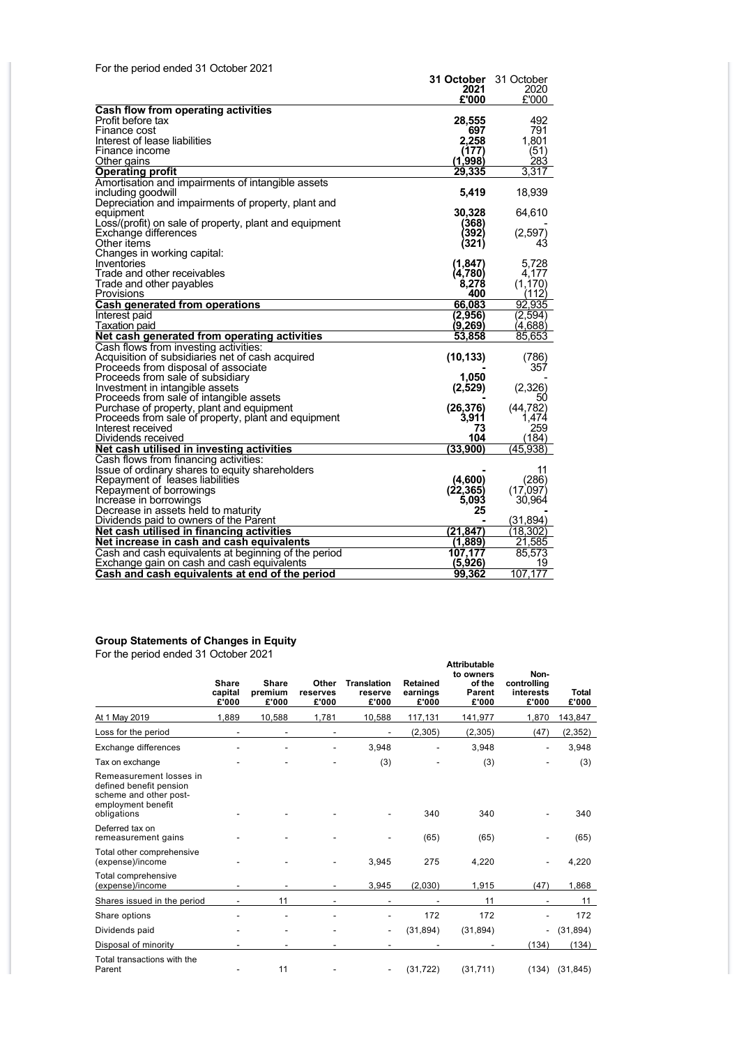| For the period ended 31 October 2021                          |                      |                  |
|---------------------------------------------------------------|----------------------|------------------|
|                                                               | 31 October           | 31 October       |
|                                                               | 2021                 | 2020             |
|                                                               | £'000                | £'000            |
| Cash flow from operating activities                           |                      |                  |
| Profit before tax                                             | 28,555               | 492              |
| Finance cost                                                  | 697                  | 791              |
| Interest of lease liabilities                                 | 2.258                | 1,801            |
| Finance income                                                | (177)                | (51)             |
| Other gains                                                   | (1,998)              | 283              |
| <b>Operating profit</b>                                       | 29.335               | 3.317            |
| Amortisation and impairments of intangible assets             |                      |                  |
| including goodwill                                            | 5,419                | 18,939           |
| Depreciation and impairments of property, plant and           |                      |                  |
| equipment                                                     | 30,328               | 64,610           |
| Loss/(profit) on sale of property, plant and equipment        | (368)                |                  |
| Exchange differences                                          | <b>392)</b>          | (2, 597)         |
| Other items                                                   | (321)                | 43               |
| Changes in working capital:                                   |                      |                  |
| Inventories                                                   | (1, 847)             | 5,728            |
| Trade and other receivables                                   | (4,780)              | 4.177            |
| Trade and other payables                                      | 8,278                | (1, 170)         |
| Provisions                                                    | 400                  | (112)            |
| Cash generated from operations                                | 66,083               | 92,935           |
| Interest paid                                                 | (2,956)              | (2,594)          |
| <b>Taxation</b> paid                                          | (9,269)              | (4,688)          |
| Net cash generated from operating activities                  | 53,858               | 85,653           |
| Cash flows from investing activities:                         |                      |                  |
| Acquisition of subsidiaries net of cash acquired              | (10, 133)            | (786)            |
| Proceeds from disposal of associate                           |                      | 357              |
| Proceeds from sale of subsidiary                              | 1,050                |                  |
| Investment in intangible assets                               | (2,529)              | (2,326)          |
| Proceeds from sale of intangible assets                       |                      | 50               |
| Purchase of property, plant and equipment                     | (26, 376)            | (44, 782)        |
| Proceeds from sale of property, plant and equipment           | 3.911                | 1,474            |
| Interest received                                             | 73                   | 259              |
| Dividends received                                            | 104                  | (184)            |
| Net cash utilised in investing activities                     | (33,900)             | (45, 938)        |
| Cash flows from financing activities:                         |                      |                  |
| Issue of ordinary shares to equity shareholders               |                      | 11               |
| Repayment of leases liabilities                               | (4,600)<br>(22, 365) | (286)<br>(17)097 |
| Repayment of borrowings                                       |                      |                  |
| Increase in borrowings<br>Decrease in assets held to maturity | 5,093<br>25          | 30,964           |
| Dividends paid to owners of the Parent                        |                      | (31, 894)        |
| Net cash utilised in financing activities                     | (21,847)             | (18, 302)        |
|                                                               |                      | 21,585           |
| Net increase in cash and cash equivalents                     | (1,889)              |                  |
| Cash and cash equivalents at beginning of the period          | 107,177              | 85,573           |
| Exchange gain on cash and cash equivalents                    | (5,926)              | 19               |
| Cash and cash equivalents at end of the period                | 99,362               | 107,177          |

#### **Group Statements of Changes in Equity**

For the period ended 31 October 2021

|                                                                                                                   | Share<br>capital<br>£'000 | <b>Share</b><br>premium<br>£'000 | Other<br>reserves<br>£'000 | <b>Translation</b><br>reserve<br>£'000 | <b>Retained</b><br>earnings<br>£'000 | <b>Attributable</b><br>to owners<br>of the<br><b>Parent</b><br>£'000 | Non-<br>controlling<br>interests<br>£'000 | <b>Total</b><br>£'000 |
|-------------------------------------------------------------------------------------------------------------------|---------------------------|----------------------------------|----------------------------|----------------------------------------|--------------------------------------|----------------------------------------------------------------------|-------------------------------------------|-----------------------|
| At 1 May 2019                                                                                                     | 1.889                     | 10,588                           | 1,781                      | 10,588                                 | 117,131                              | 141,977                                                              | 1,870                                     | 143,847               |
| Loss for the period                                                                                               |                           |                                  |                            |                                        | (2,305)                              | (2, 305)                                                             | (47)                                      | (2, 352)              |
| Exchange differences                                                                                              |                           |                                  |                            | 3,948                                  |                                      | 3,948                                                                |                                           | 3,948                 |
| Tax on exchange                                                                                                   |                           |                                  |                            | (3)                                    |                                      | (3)                                                                  |                                           | (3)                   |
| Remeasurement losses in<br>defined benefit pension<br>scheme and other post-<br>employment benefit<br>obligations |                           |                                  |                            |                                        | 340                                  | 340                                                                  |                                           | 340                   |
| Deferred tax on<br>remeasurement gains                                                                            |                           |                                  |                            |                                        | (65)                                 | (65)                                                                 |                                           | (65)                  |
| Total other comprehensive<br>(expense)/income                                                                     |                           |                                  |                            | 3,945                                  | 275                                  | 4,220                                                                |                                           | 4,220                 |
| Total comprehensive<br>(expense)/income                                                                           |                           |                                  |                            | 3,945                                  | (2,030)                              | 1,915                                                                | (47)                                      | 1,868                 |
| Shares issued in the period                                                                                       |                           | 11                               |                            |                                        |                                      | 11                                                                   |                                           | 11                    |
| Share options                                                                                                     |                           |                                  |                            |                                        | 172                                  | 172                                                                  |                                           | 172                   |
| Dividends paid                                                                                                    |                           |                                  |                            | ٠                                      | (31, 894)                            | (31, 894)                                                            | $\overline{\phantom{a}}$                  | (31, 894)             |
| Disposal of minority                                                                                              |                           |                                  |                            |                                        |                                      |                                                                      | (134)                                     | (134)                 |
| Total transactions with the<br>Parent                                                                             |                           | 11                               |                            |                                        | (31, 722)                            | (31, 711)                                                            | (134)                                     | (31, 845)             |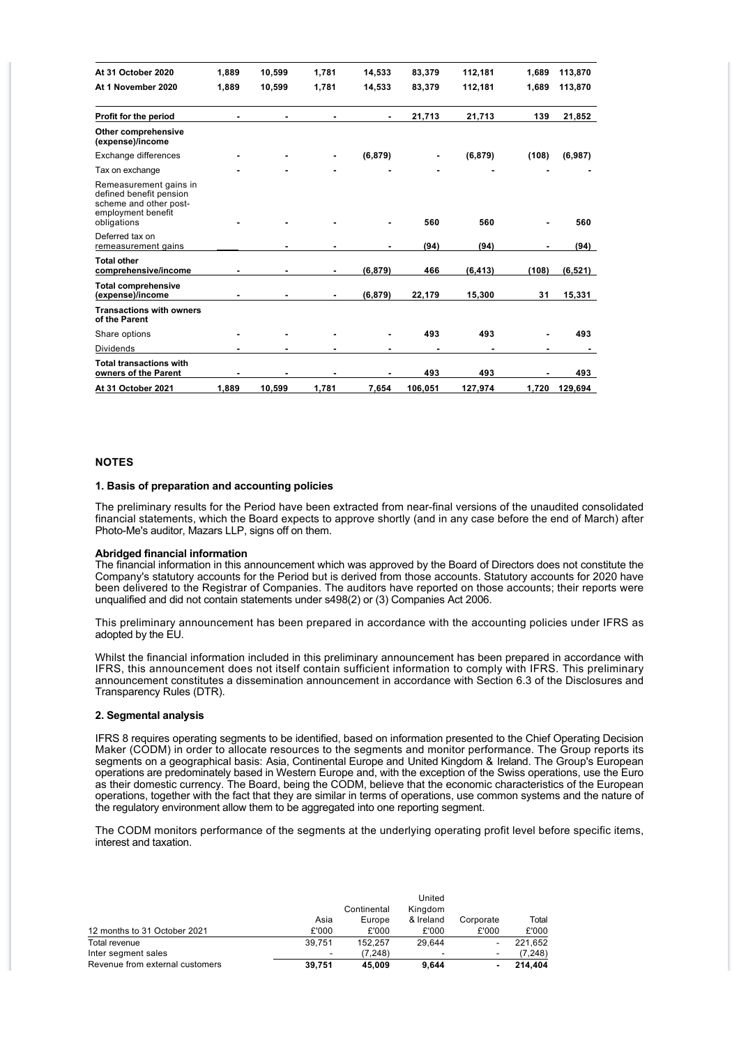| At 31 October 2020                                                                                               | 1,889 | 10,599 | 1,781 | 14,533   | 83,379  | 112,181  | 1,689 | 113,870  |
|------------------------------------------------------------------------------------------------------------------|-------|--------|-------|----------|---------|----------|-------|----------|
| At 1 November 2020                                                                                               | 1,889 | 10,599 | 1,781 | 14,533   | 83,379  | 112,181  | 1.689 | 113,870  |
| Profit for the period                                                                                            |       |        |       |          | 21,713  | 21,713   | 139   | 21,852   |
| Other comprehensive<br>(expense)/income                                                                          |       |        |       |          |         |          |       |          |
| Exchange differences                                                                                             |       |        |       | (6, 879) |         | (6, 879) | (108) | (6,987)  |
| Tax on exchange                                                                                                  |       |        |       |          |         |          |       |          |
| Remeasurement gains in<br>defined benefit pension<br>scheme and other post-<br>employment benefit<br>obligations |       |        |       |          | 560     | 560      |       | 560      |
| Deferred tax on<br>remeasurement gains                                                                           |       |        |       |          | (94)    | (94)     |       | (94)     |
| <b>Total other</b><br>comprehensive/income                                                                       |       |        |       | (6, 879) | 466     | (6, 413) | (108) | (6, 521) |
| <b>Total comprehensive</b><br>(expense)/income                                                                   |       |        |       | (6, 879) | 22,179  | 15,300   | 31    | 15,331   |
| <b>Transactions with owners</b><br>of the Parent                                                                 |       |        |       |          |         |          |       |          |
| Share options                                                                                                    |       |        |       |          | 493     | 493      |       | 493      |
| <b>Dividends</b>                                                                                                 |       |        |       |          |         |          |       |          |
| <b>Total transactions with</b><br>owners of the Parent                                                           |       |        |       |          | 493     | 493      |       | 493      |
| At 31 October 2021                                                                                               | 1,889 | 10,599 | 1,781 | 7,654    | 106,051 | 127,974  | 1,720 | 129,694  |

#### **NOTES**

#### **1. Basis of preparation and accounting policies**

The preliminary results for the Period have been extracted from near-final versions of the unaudited consolidated financial statements, which the Board expects to approve shortly (and in any case before the end of March) after Photo-Me's auditor, Mazars LLP, signs off on them.

#### **Abridged financial information**

The financial information in this announcement which was approved by the Board of Directors does not constitute the Company's statutory accounts for the Period but is derived from those accounts. Statutory accounts for 2020 have been delivered to the Registrar of Companies. The auditors have reported on those accounts; their reports were unqualified and did not contain statements under s498(2) or (3) Companies Act 2006.

This preliminary announcement has been prepared in accordance with the accounting policies under IFRS as adopted by the EU.

Whilst the financial information included in this preliminary announcement has been prepared in accordance with IFRS, this announcement does not itself contain sufficient information to comply with IFRS. This preliminary announcement constitutes a dissemination announcement in accordance with Section 6.3 of the Disclosures and Transparency Rules (DTR).

#### **2. Segmental analysis**

IFRS 8 requires operating segments to be identified, based on information presented to the Chief Operating Decision Maker (CODM) in order to allocate resources to the segments and monitor performance. The Group reports its segments on a geographical basis: Asia, Continental Europe and United Kingdom & Ireland. The Group's European operations are predominately based in Western Europe and, with the exception of the Swiss operations, use the Euro as their domestic currency. The Board, being the CODM, believe that the economic characteristics of the European operations, together with the fact that they are similar in terms of operations, use common systems and the nature of the regulatory environment allow them to be aggregated into one reporting segment.

The CODM monitors performance of the segments at the underlying operating profit level before specific items, interest and taxation.

|                                 |        | Continental | Kingdom   |           |         |
|---------------------------------|--------|-------------|-----------|-----------|---------|
|                                 | Asia   | Europe      | & Ireland | Corporate | Total   |
| 12 months to 31 October 2021    | £'000  | £'000       | £'000     | £'000     | £'000   |
| Total revenue                   | 39.751 | 152.257     | 29.644    |           | 221.652 |
| Inter segment sales             | -      | (7.248)     | -         |           | (7.248) |
| Revenue from external customers | 39.751 | 45.009      | 9.644     |           | 214.404 |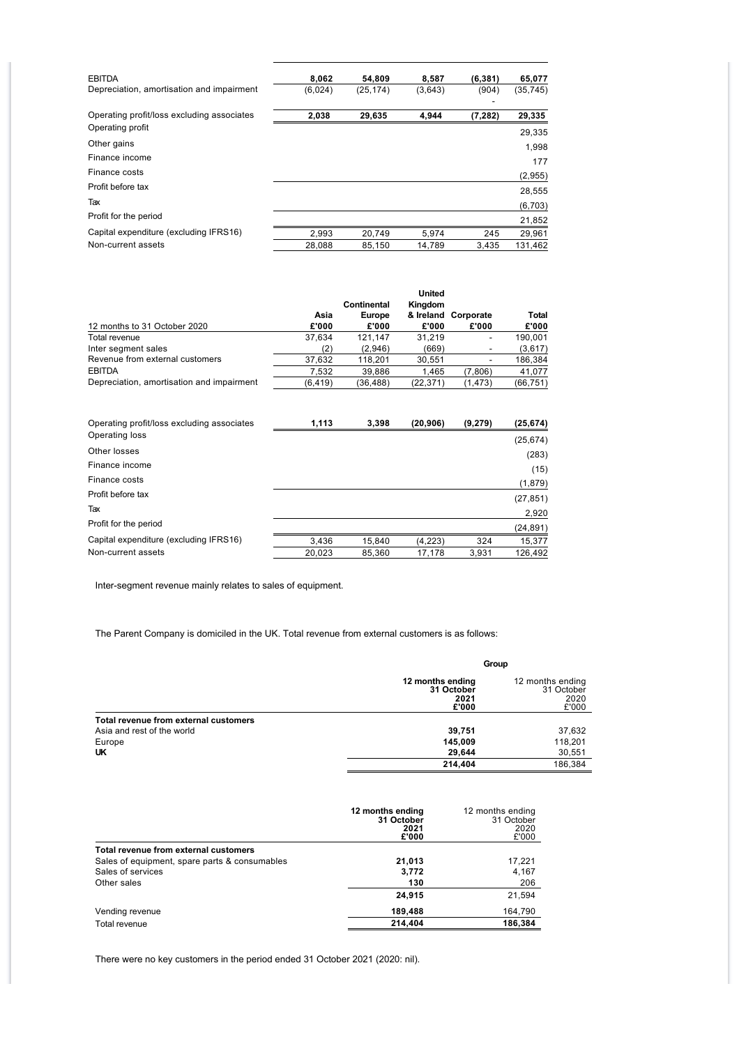| <b>EBITDA</b>                              | 8,062   | 54,809    | 8,587   | (6, 381) | 65,077    |
|--------------------------------------------|---------|-----------|---------|----------|-----------|
| Depreciation, amortisation and impairment  | (6,024) | (25, 174) | (3,643) | (904)    | (35, 745) |
| Operating profit/loss excluding associates | 2,038   | 29,635    | 4,944   | (7,282)  | 29,335    |
| Operating profit                           |         |           |         |          | 29,335    |
| Other gains                                |         |           |         |          | 1,998     |
| Finance income                             |         |           |         |          | 177       |
| Finance costs                              |         |           |         |          | (2,955)   |
| Profit before tax                          |         |           |         |          | 28,555    |
| Tax                                        |         |           |         |          | (6,703)   |
| Profit for the period                      |         |           |         |          | 21,852    |
| Capital expenditure (excluding IFRS16)     | 2,993   | 20,749    | 5,974   | 245      | 29,961    |
| Non-current assets                         | 28.088  | 85.150    | 14.789  | 3.435    | 131.462   |

|                                           |         |             | <b>United</b> |                     |              |
|-------------------------------------------|---------|-------------|---------------|---------------------|--------------|
|                                           |         | Continental | Kingdom       |                     |              |
|                                           | Asia    | Europe      |               | & Ireland Corporate | <b>Total</b> |
| 12 months to 31 October 2020              | £'000   | £'000       | £'000         | £'000               | £'000        |
| Total revenue                             | 37.634  | 121.147     | 31.219        |                     | 190.001      |
| Inter segment sales                       | (2)     | (2,946)     | (669)         |                     | (3,617)      |
| Revenue from external customers           | 37.632  | 118.201     | 30.551        |                     | 186,384      |
| <b>EBITDA</b>                             | 7.532   | 39.886      | 1.465         | (7,806)             | 41,077       |
| Depreciation, amortisation and impairment | (6.419) | (36.488)    | (22.371)      | (1, 473)            | (66, 751)    |

| Operating profit/loss excluding associates | 1,113  | 3,398  | (20, 906) | (9,279) | (25, 674) |
|--------------------------------------------|--------|--------|-----------|---------|-----------|
| Operating loss                             |        |        |           |         | (25, 674) |
| Other losses                               |        |        |           |         | (283)     |
| Finance income                             |        |        |           |         | (15)      |
| Finance costs                              |        |        |           |         | (1,879)   |
| Profit before tax                          |        |        |           |         | (27, 851) |
| Tax                                        |        |        |           |         | 2,920     |
| Profit for the period                      |        |        |           |         | (24,891)  |
| Capital expenditure (excluding IFRS16)     | 3,436  | 15,840 | (4,223)   | 324     | 15,377    |
| Non-current assets                         | 20,023 | 85,360 | 17,178    | 3,931   | 126,492   |

Inter-segment revenue mainly relates to sales of equipment.

The Parent Company is domiciled in the UK. Total revenue from external customers is as follows:

|                                       |                                                 | Group                                           |
|---------------------------------------|-------------------------------------------------|-------------------------------------------------|
|                                       | 12 months ending<br>31 October<br>2021<br>£'000 | 12 months ending<br>31 October<br>2020<br>£'000 |
| Total revenue from external customers |                                                 |                                                 |
| Asia and rest of the world            | 39,751                                          | 37,632                                          |
| Europe                                | 145,009                                         | 118,201                                         |
| UK                                    | 29,644                                          | 30,551                                          |
|                                       | 214.404                                         | 186,384                                         |

|                                               | 12 months ending<br>31 October<br>2021<br>£'000 | 12 months ending<br>31 October<br>2020<br>£'000 |
|-----------------------------------------------|-------------------------------------------------|-------------------------------------------------|
| Total revenue from external customers         |                                                 |                                                 |
| Sales of equipment, spare parts & consumables | 21,013                                          | 17.221                                          |
| Sales of services                             | 3,772                                           | 4,167                                           |
| Other sales                                   | 130                                             | 206                                             |
|                                               | 24,915                                          | 21,594                                          |
| Vending revenue                               | 189,488                                         | 164,790                                         |
| Total revenue                                 | 214.404                                         | 186,384                                         |

There were no key customers in the period ended 31 October 2021 (2020: nil).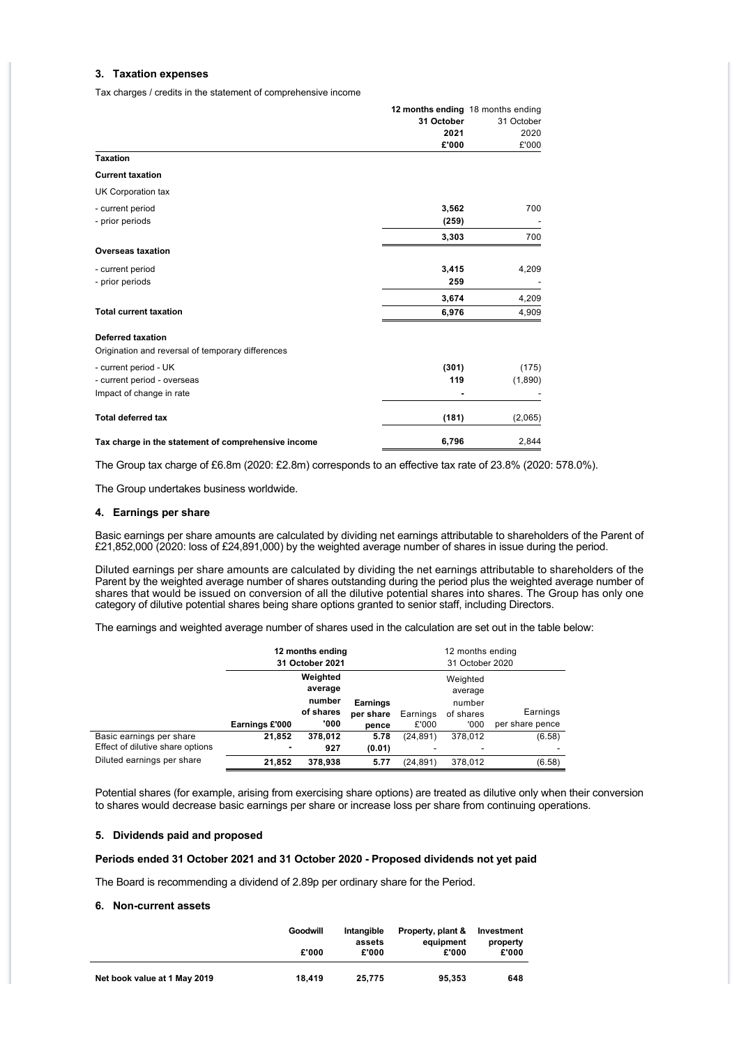#### **3. Taxation expenses**

Tax charges / credits in the statement of comprehensive income

|                                                     | 12 months ending 18 months ending |            |
|-----------------------------------------------------|-----------------------------------|------------|
|                                                     | 31 October                        | 31 October |
|                                                     | 2021                              | 2020       |
|                                                     | £'000                             | £'000      |
| <b>Taxation</b>                                     |                                   |            |
| <b>Current taxation</b>                             |                                   |            |
| <b>UK Corporation tax</b>                           |                                   |            |
| - current period                                    | 3,562                             | 700        |
| - prior periods                                     | (259)                             |            |
|                                                     | 3,303                             | 700        |
| <b>Overseas taxation</b>                            |                                   |            |
| - current period                                    | 3,415                             | 4,209      |
| - prior periods                                     | 259                               |            |
|                                                     | 3,674                             | 4,209      |
| <b>Total current taxation</b>                       | 6,976                             | 4,909      |
| <b>Deferred taxation</b>                            |                                   |            |
| Origination and reversal of temporary differences   |                                   |            |
| - current period - UK                               | (301)                             | (175)      |
| - current period - overseas                         | 119                               | (1,890)    |
| Impact of change in rate                            |                                   |            |
| <b>Total deferred tax</b>                           | (181)                             | (2,065)    |
| Tax charge in the statement of comprehensive income | 6,796                             | 2,844      |

The Group tax charge of £6.8m (2020: £2.8m) corresponds to an effective tax rate of 23.8% (2020: 578.0%).

The Group undertakes business worldwide.

#### **4. Earnings per share**

Basic earnings per share amounts are calculated by dividing net earnings attributable to shareholders of the Parent of £21,852,000 (2020: loss of £24,891,000) by the weighted average number of shares in issue during the period.

Diluted earnings per share amounts are calculated by dividing the net earnings attributable to shareholders of the Parent by the weighted average number of shares outstanding during the period plus the weighted average number of shares that would be issued on conversion of all the dilutive potential shares into shares. The Group has only one category of dilutive potential shares being share options granted to senior staff, including Directors.

The earnings and weighted average number of shares used in the calculation are set out in the table below:

|                                  | 12 months ending<br>31 October 2021 |                                                    |                                       |                   | 12 months ending<br>31 October 2020                 |                             |
|----------------------------------|-------------------------------------|----------------------------------------------------|---------------------------------------|-------------------|-----------------------------------------------------|-----------------------------|
|                                  | Earnings £'000                      | Weighted<br>average<br>number<br>of shares<br>'000 | <b>Earnings</b><br>per share<br>pence | Earnings<br>£'000 | Weighted<br>average<br>number<br>of shares<br>'000' | Earnings<br>per share pence |
| Basic earnings per share         | 21.852                              | 378,012                                            | 5.78                                  | (24, 891)         | 378.012                                             | (6.58)                      |
| Effect of dilutive share options |                                     | 927                                                | (0.01)                                |                   |                                                     |                             |
| Diluted earnings per share       | 21.852                              | 378.938                                            | 5.77                                  | (24.891)          | 378.012                                             | (6.58)                      |

Potential shares (for example, arising from exercising share options) are treated as dilutive only when their conversion to shares would decrease basic earnings per share or increase loss per share from continuing operations.

#### **5. Dividends paid and proposed**

#### **Periods ended 31 October 2021 and 31 October 2020 - Proposed dividends not yet paid**

The Board is recommending a dividend of 2.89p per ordinary share for the Period.

#### **6. Non-current assets**

|                              | Goodwill | Intangible<br>assets | Property, plant &<br>equipment | Investment<br>property |
|------------------------------|----------|----------------------|--------------------------------|------------------------|
|                              | £'000    | £'000                | £'000                          | £'000                  |
| Net book value at 1 May 2019 | 18.419   | 25.775               | 95.353                         | 648                    |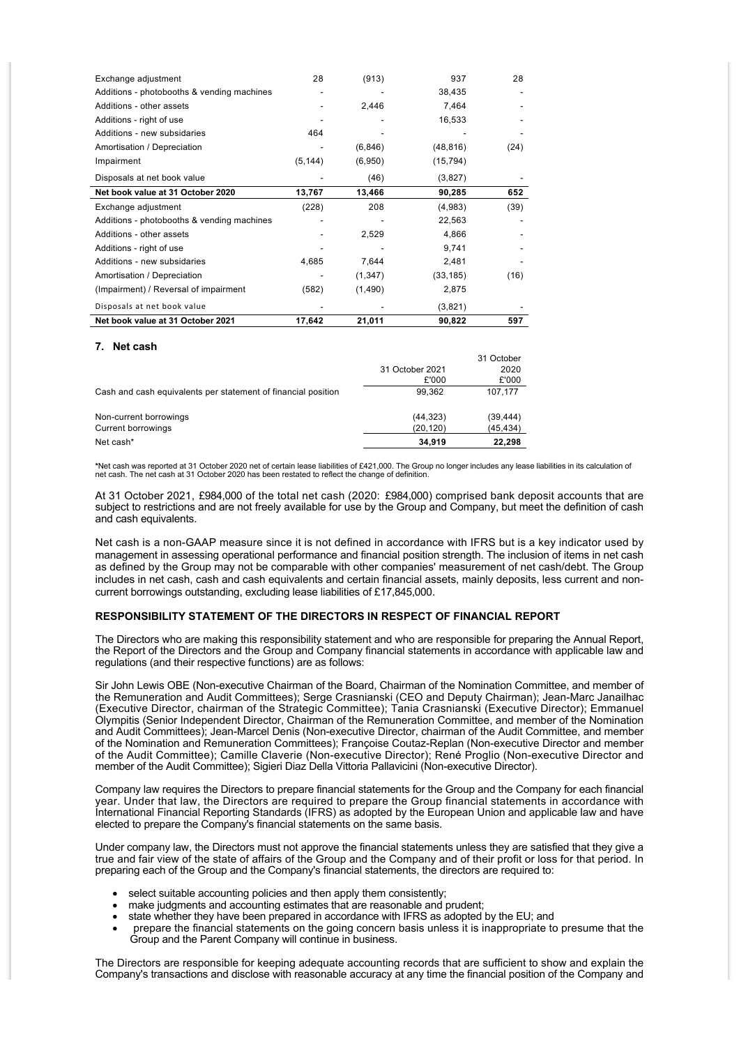| Exchange adjustment                        | 28       | (913)    | 937       | 28   |
|--------------------------------------------|----------|----------|-----------|------|
| Additions - photobooths & vending machines |          |          | 38,435    |      |
| Additions - other assets                   |          | 2,446    | 7,464     |      |
| Additions - right of use                   |          |          | 16,533    |      |
| Additions - new subsidaries                | 464      |          |           |      |
| Amortisation / Depreciation                |          | (6, 846) | (48, 816) | (24) |
| Impairment                                 | (5, 144) | (6,950)  | (15, 794) |      |
| Disposals at net book value                |          | (46)     | (3,827)   |      |
| Net book value at 31 October 2020          | 13,767   | 13,466   | 90,285    | 652  |
| Exchange adjustment                        | (228)    | 208      | (4,983)   | (39) |
| Additions - photobooths & vending machines |          |          | 22,563    |      |
| Additions - other assets                   |          | 2,529    | 4,866     |      |
| Additions - right of use                   |          |          | 9,741     |      |
| Additions - new subsidaries                | 4,685    | 7,644    | 2,481     |      |
| Amortisation / Depreciation                |          | (1, 347) | (33, 185) | (16) |
| (Impairment) / Reversal of impairment      | (582)    | (1,490)  | 2,875     |      |
| Disposals at net book value                |          |          | (3,821)   |      |
| Net book value at 31 October 2021          | 17,642   | 21,011   | 90,822    | 597  |

#### **7. Net cash**

| Net cash*                                                     | 34.919                   | 22,298                      |
|---------------------------------------------------------------|--------------------------|-----------------------------|
| Current borrowings                                            | (20, 120)                | (45, 434)                   |
| Non-current borrowings                                        | (44, 323)                | (39, 444)                   |
| Cash and cash equivalents per statement of financial position | 99.362                   | 107.177                     |
|                                                               | 31 October 2021<br>£'000 | 31 October<br>2020<br>£'000 |

\*Net cash was reported at 31 October 2020 net of certain lease liabilities of £421,000. The Group no longer includes any lease liabilities in its calculation of<br>net cash. The net cash at 31 October 2020 has been restated t

At 31 October 2021, £984,000 of the total net cash (2020: £984,000) comprised bank deposit accounts that are subject to restrictions and are not freely available for use by the Group and Company, but meet the definition of cash and cash equivalents.

Net cash is a non-GAAP measure since it is not defined in accordance with IFRS but is a key indicator used by management in assessing operational performance and financial position strength. The inclusion of items in net cash as defined by the Group may not be comparable with other companies' measurement of net cash/debt. The Group includes in net cash, cash and cash equivalents and certain financial assets, mainly deposits, less current and noncurrent borrowings outstanding, excluding lease liabilities of £17,845,000.

#### **RESPONSIBILITY STATEMENT OF THE DIRECTORS IN RESPECT OF FINANCIAL REPORT**

The Directors who are making this responsibility statement and who are responsible for preparing the Annual Report, the Report of the Directors and the Group and Company financial statements in accordance with applicable law and regulations (and their respective functions) are as follows:

Sir John Lewis OBE (Non-executive Chairman of the Board, Chairman of the Nomination Committee, and member of the Remuneration and Audit Committees); Serge Crasnianski (CEO and Deputy Chairman); Jean-Marc Janailhac (Executive Director, chairman of the Strategic Committee); Tania Crasnianski (Executive Director); Emmanuel Olympitis (Senior Independent Director, Chairman of the Remuneration Committee, and member of the Nomination and Audit Committees); Jean-Marcel Denis (Non-executive Director, chairman of the Audit Committee, and member of the Nomination and Remuneration Committees); Françoise Coutaz-Replan (Non-executive Director and member of the Audit Committee); Camille Claverie (Non-executive Director); René Proglio (Non-executive Director and member of the Audit Committee); Sigieri Diaz Della Vittoria Pallavicini (Non-executive Director).

Company law requires the Directors to prepare financial statements for the Group and the Company for each financial year. Under that law, the Directors are required to prepare the Group financial statements in accordance with International Financial Reporting Standards (IFRS) as adopted by the European Union and applicable law and have elected to prepare the Company's financial statements on the same basis.

Under company law, the Directors must not approve the financial statements unless they are satisfied that they give a true and fair view of the state of affairs of the Group and the Company and of their profit or loss for that period. In preparing each of the Group and the Company's financial statements, the directors are required to:

- select suitable accounting policies and then apply them consistently:
- make judgments and accounting estimates that are reasonable and prudent;
- state whether they have been prepared in accordance with IFRS as adopted by the EU; and
- prepare the financial statements on the going concern basis unless it is inappropriate to presume that the Group and the Parent Company will continue in business.

The Directors are responsible for keeping adequate accounting records that are sufficient to show and explain the Company's transactions and disclose with reasonable accuracy at any time the financial position of the Company and